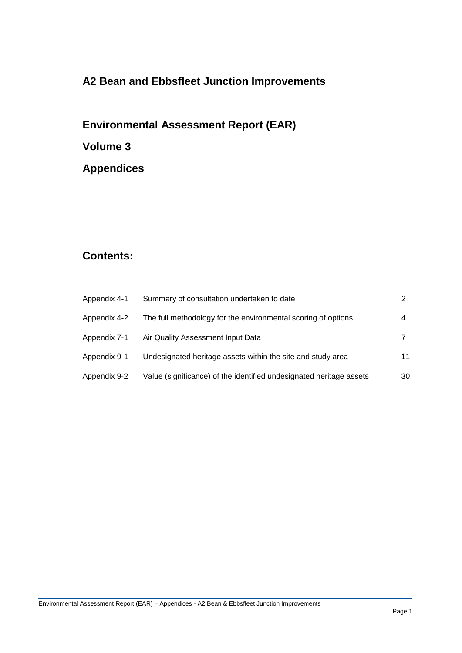# **A2 Bean and Ebbsfleet Junction Improvements**

# **Environmental Assessment Report (EAR) Volume 3**

**Appendices**

## **Contents:**

| Appendix 4-1 | Summary of consultation undertaken to date                          |    |
|--------------|---------------------------------------------------------------------|----|
| Appendix 4-2 | The full methodology for the environmental scoring of options       |    |
| Appendix 7-1 | Air Quality Assessment Input Data                                   |    |
| Appendix 9-1 | Undesignated heritage assets within the site and study area         | 11 |
| Appendix 9-2 | Value (significance) of the identified undesignated heritage assets | 30 |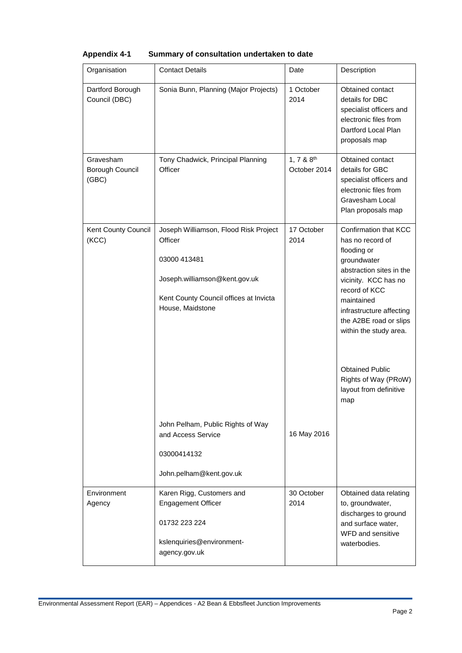| Organisation                          | <b>Contact Details</b>                                                                                                                                          | Date                                   | Description                                                                                                                                                                                                                                                                                                                   |
|---------------------------------------|-----------------------------------------------------------------------------------------------------------------------------------------------------------------|----------------------------------------|-------------------------------------------------------------------------------------------------------------------------------------------------------------------------------------------------------------------------------------------------------------------------------------------------------------------------------|
| Dartford Borough<br>Council (DBC)     | Sonia Bunn, Planning (Major Projects)                                                                                                                           | 1 October<br>2014                      | Obtained contact<br>details for DBC<br>specialist officers and<br>electronic files from<br>Dartford Local Plan<br>proposals map                                                                                                                                                                                               |
| Gravesham<br>Borough Council<br>(GBC) | Tony Chadwick, Principal Planning<br>Officer                                                                                                                    | 1, 7 & 8 <sup>th</sup><br>October 2014 | Obtained contact<br>details for GBC<br>specialist officers and<br>electronic files from<br>Gravesham Local<br>Plan proposals map                                                                                                                                                                                              |
| Kent County Council<br>(KCC)          | Joseph Williamson, Flood Risk Project<br>Officer<br>03000 413481<br>Joseph.williamson@kent.gov.uk<br>Kent County Council offices at Invicta<br>House, Maidstone | 17 October<br>2014                     | Confirmation that KCC<br>has no record of<br>flooding or<br>groundwater<br>abstraction sites in the<br>vicinity. KCC has no<br>record of KCC<br>maintained<br>infrastructure affecting<br>the A2BE road or slips<br>within the study area.<br><b>Obtained Public</b><br>Rights of Way (PRoW)<br>layout from definitive<br>map |
|                                       | John Pelham, Public Rights of Way<br>and Access Service<br>03000414132<br>John.pelham@kent.gov.uk                                                               | 16 May 2016                            |                                                                                                                                                                                                                                                                                                                               |
| Environment<br>Agency                 | Karen Rigg, Customers and<br><b>Engagement Officer</b><br>01732 223 224<br>kslenquiries@environment-<br>agency.gov.uk                                           | 30 October<br>2014                     | Obtained data relating<br>to, groundwater,<br>discharges to ground<br>and surface water,<br>WFD and sensitive<br>waterbodies.                                                                                                                                                                                                 |

### **Appendix 4-1 Summary of consultation undertaken to date**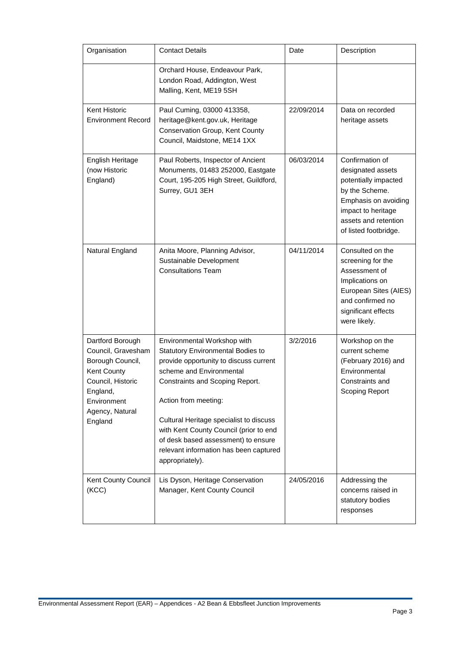| Organisation                                                                                                                                            | <b>Contact Details</b>                                                                                                                                                                                                                                                                                                                                                                     | Date       | Description                                                                                                                                                                   |
|---------------------------------------------------------------------------------------------------------------------------------------------------------|--------------------------------------------------------------------------------------------------------------------------------------------------------------------------------------------------------------------------------------------------------------------------------------------------------------------------------------------------------------------------------------------|------------|-------------------------------------------------------------------------------------------------------------------------------------------------------------------------------|
|                                                                                                                                                         | Orchard House, Endeavour Park,<br>London Road, Addington, West<br>Malling, Kent, ME19 5SH                                                                                                                                                                                                                                                                                                  |            |                                                                                                                                                                               |
| Kent Historic<br><b>Environment Record</b>                                                                                                              | Paul Cuming, 03000 413358,<br>heritage@kent.gov.uk, Heritage<br><b>Conservation Group, Kent County</b><br>Council, Maidstone, ME14 1XX                                                                                                                                                                                                                                                     | 22/09/2014 | Data on recorded<br>heritage assets                                                                                                                                           |
| English Heritage<br>(now Historic<br>England)                                                                                                           | Paul Roberts, Inspector of Ancient<br>Monuments, 01483 252000, Eastgate<br>Court, 195-205 High Street, Guildford,<br>Surrey, GU1 3EH                                                                                                                                                                                                                                                       | 06/03/2014 | Confirmation of<br>designated assets<br>potentially impacted<br>by the Scheme.<br>Emphasis on avoiding<br>impact to heritage<br>assets and retention<br>of listed footbridge. |
| Natural England                                                                                                                                         | Anita Moore, Planning Advisor,<br>Sustainable Development<br><b>Consultations Team</b>                                                                                                                                                                                                                                                                                                     | 04/11/2014 | Consulted on the<br>screening for the<br>Assessment of<br>Implications on<br>European Sites (AIES)<br>and confirmed no<br>significant effects<br>were likely.                 |
| Dartford Borough<br>Council, Gravesham<br>Borough Council,<br>Kent County<br>Council, Historic<br>England,<br>Environment<br>Agency, Natural<br>England | Environmental Workshop with<br>Statutory Environmental Bodies to<br>provide opportunity to discuss current<br>scheme and Environmental<br>Constraints and Scoping Report.<br>Action from meeting:<br>Cultural Heritage specialist to discuss<br>with Kent County Council (prior to end<br>of desk based assessment) to ensure<br>relevant information has been captured<br>appropriately). | 3/2/2016   | Workshop on the<br>current scheme<br>(February 2016) and<br>Environmental<br>Constraints and<br><b>Scoping Report</b>                                                         |
| Kent County Council<br>(KCC)                                                                                                                            | Lis Dyson, Heritage Conservation<br>Manager, Kent County Council                                                                                                                                                                                                                                                                                                                           | 24/05/2016 | Addressing the<br>concerns raised in<br>statutory bodies<br>responses                                                                                                         |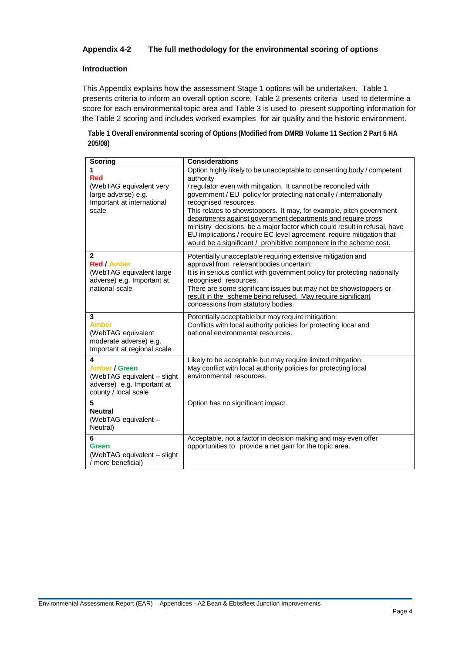#### **Appendix 4-2 The full methodology for the environmental scoring of options**

#### **Introduction**

This Appendix explains how the assessment Stage 1 options will be undertaken. Table 1 presents criteria to inform an overall option score, Table 2 presents criteria used to determine a score for each environmental topic area and Table 3 is used to present supporting information for the Table 2 scoring and includes worked examples for air quality and the historic environment.

**Table 1 Overall environmental scoring of Options (Modified from DMRB Volume 11 Section 2 Part 5 HA 205/08)**

| <b>Scoring</b>                                                                                                 | <b>Considerations</b>                                                                                                                                                                                                                                                                                                                                                                                                                                                                                                                                                                                                   |
|----------------------------------------------------------------------------------------------------------------|-------------------------------------------------------------------------------------------------------------------------------------------------------------------------------------------------------------------------------------------------------------------------------------------------------------------------------------------------------------------------------------------------------------------------------------------------------------------------------------------------------------------------------------------------------------------------------------------------------------------------|
| 1<br><b>Red</b><br>(WebTAG equivalent very<br>large adverse) e.g.<br>Important at international<br>scale       | Option highly likely to be unacceptable to consenting body / competent<br>authority<br>/ regulator even with mitigation. It cannot be reconciled with<br>government / EU policy for protecting nationally / internationally<br>recognised resources.<br>This relates to showstoppers. It may, for example, pitch government<br>departments against government departments and require cross<br>ministry decisions, be a major factor which could result in refusal, have<br>EU implications / require EC level agreement, require mitigation that<br>would be a significant / prohibitive component in the scheme cost. |
| $\mathbf{2}$<br><b>Red / Amber</b><br>(WebTAG equivalent large<br>adverse) e.g. Important at<br>national scale | Potentially unacceptable requiring extensive mitigation and<br>approval from relevant bodies uncertain:<br>It is in serious conflict with government policy for protecting nationally<br>recognised resources.<br>There are some significant issues but may not be showstoppers or<br>result in the scheme being refused. May require significant<br>concessions from statutory bodies.                                                                                                                                                                                                                                 |
| 3<br><b>Amber</b><br>(WebTAG equivalent<br>moderate adverse) e.g.<br>Important at regional scale               | Potentially acceptable but may require mitigation:<br>Conflicts with local authority policies for protecting local and<br>national environmental resources.                                                                                                                                                                                                                                                                                                                                                                                                                                                             |
| 4<br><b>Amber / Green</b><br>(WebTAG equivalent - slight<br>adverse) e.g. Important at<br>county / local scale | Likely to be acceptable but may require limited mitigation:<br>May conflict with local authority policies for protecting local<br>environmental resources.                                                                                                                                                                                                                                                                                                                                                                                                                                                              |
| 5<br><b>Neutral</b><br>(WebTAG equivalent -<br>Neutral)                                                        | Option has no significant impact.                                                                                                                                                                                                                                                                                                                                                                                                                                                                                                                                                                                       |
| 6<br>Green<br>(WebTAG equivalent - slight<br>/ more beneficial)                                                | Acceptable, not a factor in decision making and may even offer<br>opportunities to provide a net gain for the topic area.                                                                                                                                                                                                                                                                                                                                                                                                                                                                                               |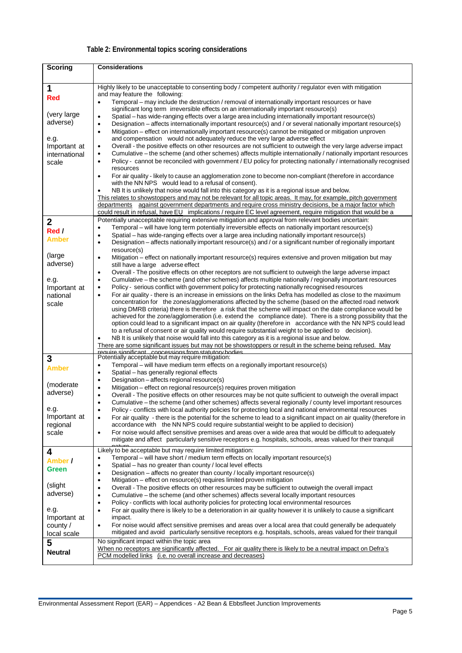## **Table 2: Environmental topics scoring considerations**

| <b>Scoring</b>           | <b>Considerations</b>                                                                                                                                                                                                                    |
|--------------------------|------------------------------------------------------------------------------------------------------------------------------------------------------------------------------------------------------------------------------------------|
|                          |                                                                                                                                                                                                                                          |
| 1                        | Highly likely to be unacceptable to consenting body / competent authority / regulator even with mitigation                                                                                                                               |
| <b>Red</b>               | and may feature the following:<br>Temporal – may include the destruction / removal of internationally important resources or have<br>$\bullet$                                                                                           |
|                          | significant long term irreversible effects on an internationally important resource(s)                                                                                                                                                   |
| (very large)             | Spatial – has wide-ranging effects over a large area including internationally important resource(s)<br>$\bullet$                                                                                                                        |
| adverse)                 | Designation – affects internationally important resource(s) and / or several nationally important resource(s)<br>$\bullet$                                                                                                               |
|                          | Mitigation - effect on internationally important resource(s) cannot be mitigated or mitigation unproven<br>$\bullet$<br>and compensation would not adequately reduce the very large adverse effect                                       |
| e.g.<br>Important at     | Overall - the positive effects on other resources are not sufficient to outweigh the very large adverse impact<br>$\bullet$                                                                                                              |
| international            | Cumulative – the scheme (and other schemes) affects multiple internationally / nationally important resources<br>$\bullet$                                                                                                               |
| scale                    | Policy - cannot be reconciled with government / EU policy for protecting nationally / internationally recognised<br>٠                                                                                                                    |
|                          | resources                                                                                                                                                                                                                                |
|                          | For air quality - likely to cause an agglomeration zone to become non-compliant (therefore in accordance<br>$\bullet$<br>with the NN NPS would lead to a refusal of consent).                                                            |
|                          | NB It is unlikely that noise would fall into this category as it is a regional issue and below.<br>$\bullet$                                                                                                                             |
|                          | This relates to showstoppers and may not be relevant for all topic areas. It may, for example, pitch government                                                                                                                          |
|                          | departments against government departments and require cross ministry decisions, be a major factor which<br>could result in refusal, have EU implications / require EC level agreement, require mitigation that would be a               |
| $\mathbf 2$              | Potentially unacceptable requiring extensive mitigation and approval from relevant bodies uncertain:                                                                                                                                     |
| Red /                    | Temporal - will have long term potentially irreversible effects on nationally important resource(s)<br>$\bullet$                                                                                                                         |
| Amber                    | Spatial - has wide-ranging effects over a large area including nationally important resource(s)<br>$\bullet$                                                                                                                             |
|                          | Designation – affects nationally important resource(s) and / or a significant number of regionally important<br>$\bullet$                                                                                                                |
| (large)                  | resource(s)<br>Mitigation – effect on nationally important resource(s) requires extensive and proven mitigation but may<br>$\bullet$                                                                                                     |
| adverse)                 | still have a large adverse effect                                                                                                                                                                                                        |
|                          | Overall - The positive effects on other receptors are not sufficient to outweigh the large adverse impact<br>$\bullet$                                                                                                                   |
| e.g.                     | Cumulative - the scheme (and other schemes) affects multiple nationally / regionally important resources<br>$\bullet$                                                                                                                    |
| Important at<br>national | Policy - serious conflict with government policy for protecting nationally recognised resources<br>$\bullet$<br>For air quality - there is an increase in emissions on the links Defra has modelled as close to the maximum<br>$\bullet$ |
| scale                    | concentration for the zones/agglomerations affected by the scheme (based on the affected road network                                                                                                                                    |
|                          | using DMRB criteria) there is therefore a risk that the scheme will impact on the date compliance would be                                                                                                                               |
|                          | achieved for the zone/agglomeration (i.e. extend the compliance date). There is a strong possibility that the                                                                                                                            |
|                          | option could lead to a significant impact on air quality (therefore in accordance with the NN NPS could lead<br>to a refusal of consent or air quality would require substantial weight to be applied to decision).                      |
|                          | NB It is unlikely that noise would fall into this category as it is a regional issue and below.<br>٠                                                                                                                                     |
|                          | There are some significant issues but may not be showstoppers or result in the scheme being refused. May<br>require significant concessions from statutory hodies                                                                        |
| 3                        | Potentially acceptable but may require mitigation:                                                                                                                                                                                       |
| <b>Amber</b>             | Temporal - will have medium term effects on a regionally important resource(s)<br>$\bullet$                                                                                                                                              |
|                          | Spatial - has generally regional effects<br>$\bullet$<br>Designation - affects regional resource(s)<br>٠                                                                                                                                 |
| (moderate)               | Mitigation - effect on regional resource(s) requires proven mitigation<br>$\bullet$                                                                                                                                                      |
| adverse)                 | Overall - The positive effects on other resources may be not quite sufficient to outweigh the overall impact<br>$\bullet$                                                                                                                |
|                          | Cumulative - the scheme (and other schemes) affects several regionally / county level important resources<br>$\bullet$                                                                                                                   |
| e.g.<br>Important at     | Policy - conflicts with local authority policies for protecting local and national environmental resources                                                                                                                               |
| regional                 | For air quality - there is the potential for the scheme to lead to a significant impact on air quality (therefore in<br>٠<br>accordance with the NN NPS could require substantial weight to be applied to decision)                      |
| scale                    | For noise would affect sensitive premises and areas over a wide area that would be difficult to adequately<br>$\bullet$                                                                                                                  |
|                          | mitigate and affect particularly sensitive receptors e.g. hospitals, schools, areas valued for their tranquil                                                                                                                            |
| 4                        | Likely to be acceptable but may require limited mitigation:                                                                                                                                                                              |
| Amber /                  | Temporal – will have short / medium term effects on locally important resource(s)<br>٠                                                                                                                                                   |
| Green                    | Spatial - has no greater than county / local level effects<br>$\bullet$<br>Designation – affects no greater than county / locally important resource(s)<br>٠                                                                             |
|                          | Mitigation - effect on resource(s) requires limited proven mitigation<br>$\bullet$                                                                                                                                                       |
| (slight                  | Overall - The positive effects on other resources may be sufficient to outweigh the overall impact<br>$\bullet$                                                                                                                          |
| adverse)                 | Cumulative - the scheme (and other schemes) affects several locally important resources<br>٠                                                                                                                                             |
| e.g.                     | Policy - conflicts with local authority policies for protecting local environmental resources<br>$\bullet$                                                                                                                               |
| Important at             | For air quality there is likely to be a deterioration in air quality however it is unlikely to cause a significant<br>٠<br>impact.                                                                                                       |
| county /                 | For noise would affect sensitive premises and areas over a local area that could generally be adequately<br>$\bullet$                                                                                                                    |
| local scale              | mitigated and avoid particularly sensitive receptors e.g. hospitals, schools, areas valued for their tranquil                                                                                                                            |
| 5                        | No significant impact within the topic area                                                                                                                                                                                              |
| <b>Neutral</b>           | When no receptors are significantly affected. For air quality there is likely to be a neutral impact on Defra's<br>PCM modelled links (i.e. no overall increase and decreases)                                                           |
|                          |                                                                                                                                                                                                                                          |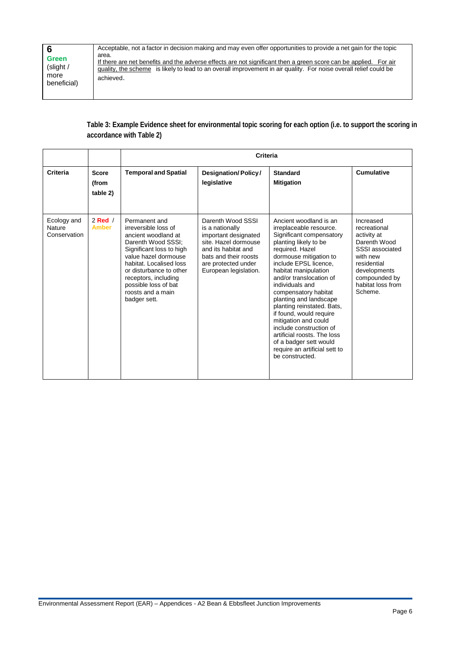| <b>Green</b><br>(slight /<br>more<br>beneficial) | Acceptable, not a factor in decision making and may even offer opportunities to provide a net gain for the topic<br>area.<br>If there are net benefits and the adverse effects are not significant then a green score can be applied. For air<br>quality, the scheme is likely to lead to an overall improvement in air quality. For noise overall relief could be<br>achieved. |
|--------------------------------------------------|---------------------------------------------------------------------------------------------------------------------------------------------------------------------------------------------------------------------------------------------------------------------------------------------------------------------------------------------------------------------------------|
|                                                  |                                                                                                                                                                                                                                                                                                                                                                                 |

**Table 3: Example Evidence sheet for environmental topic scoring for each option (i.e. to support the scoring in accordance with Table 2)**

|                                       |                                   | Criteria                                                                                                                                                                                                                                                                          |                                                                                                                                                                                      |                                                                                                                                                                                                                                                                                                                                                                                                                                                                                                                               |                                                                                                                                                                         |
|---------------------------------------|-----------------------------------|-----------------------------------------------------------------------------------------------------------------------------------------------------------------------------------------------------------------------------------------------------------------------------------|--------------------------------------------------------------------------------------------------------------------------------------------------------------------------------------|-------------------------------------------------------------------------------------------------------------------------------------------------------------------------------------------------------------------------------------------------------------------------------------------------------------------------------------------------------------------------------------------------------------------------------------------------------------------------------------------------------------------------------|-------------------------------------------------------------------------------------------------------------------------------------------------------------------------|
| Criteria                              | <b>Score</b><br>(from<br>table 2) | <b>Temporal and Spatial</b>                                                                                                                                                                                                                                                       | Designation/Policy/<br>legislative                                                                                                                                                   | <b>Standard</b><br><b>Mitigation</b>                                                                                                                                                                                                                                                                                                                                                                                                                                                                                          | Cumulative                                                                                                                                                              |
| Ecology and<br>Nature<br>Conservation | $2$ Red $/$<br><b>Amber</b>       | Permanent and<br>irreversible loss of<br>ancient woodland at<br>Darenth Wood SSSI:<br>Significant loss to high<br>value hazel dormouse<br>habitat. Localised loss<br>or disturbance to other<br>receptors, including<br>possible loss of bat<br>roosts and a main<br>badger sett. | Darenth Wood SSSI<br>is a nationally<br>important designated<br>site. Hazel dormouse<br>and its habitat and<br>bats and their roosts<br>are protected under<br>European legislation. | Ancient woodland is an<br>irreplaceable resource.<br>Significant compensatory<br>planting likely to be<br>required. Hazel<br>dormouse mitigation to<br>include EPSL licence,<br>habitat manipulation<br>and/or translocation of<br>individuals and<br>compensatory habitat<br>planting and landscape<br>planting reinstated. Bats,<br>if found, would require<br>mitigation and could<br>include construction of<br>artificial roosts. The loss<br>of a badger sett would<br>require an artificial sett to<br>be constructed. | Increased<br>recreational<br>activity at<br>Darenth Wood<br>SSSI associated<br>with new<br>residential<br>developments<br>compounded by<br>habitat loss from<br>Scheme. |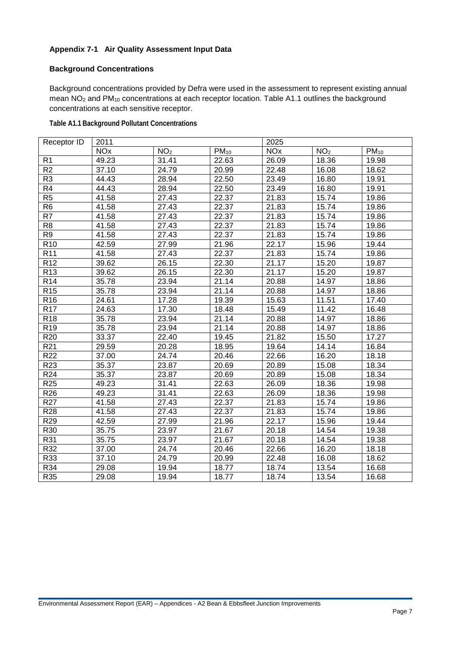#### **Appendix 7-1 Air Quality Assessment Input Data**

#### **Background Concentrations**

Background concentrations provided by Defra were used in the assessment to represent existing annual mean NO2 and PM10 concentrations at each receptor location. Table A1.1 outlines the background concentrations at each sensitive receptor.

**Table A1.1 Background Pollutant Concentrations**

| Receptor ID              | 2011                  |                 |           | 2025                  |                 |           |
|--------------------------|-----------------------|-----------------|-----------|-----------------------|-----------------|-----------|
|                          | <b>NO<sub>x</sub></b> | NO <sub>2</sub> | $PM_{10}$ | <b>NO<sub>x</sub></b> | NO <sub>2</sub> | $PM_{10}$ |
| R <sub>1</sub>           | 49.23                 | 31.41           | 22.63     | 26.09                 | 18.36           | 19.98     |
| R <sub>2</sub>           | 37.10                 | 24.79           | 20.99     | 22.48                 | 16.08           | 18.62     |
| R <sub>3</sub>           | 44.43                 | 28.94           | 22.50     | 23.49                 | 16.80           | 19.91     |
| R4                       | 44.43                 | 28.94           | 22.50     | 23.49                 | 16.80           | 19.91     |
| $\overline{R5}$          | 41.58                 | 27.43           | 22.37     | 21.83                 | 15.74           | 19.86     |
| $\overline{R6}$          | 41.58                 | 27.43           | 22.37     | 21.83                 | 15.74           | 19.86     |
| $\overline{\mathsf{R7}}$ | 41.58                 | 27.43           | 22.37     | 21.83                 | 15.74           | 19.86     |
| $\overline{R8}$          | 41.58                 | 27.43           | 22.37     | 21.83                 | 15.74           | 19.86     |
| R9                       | 41.58                 | 27.43           | 22.37     | 21.83                 | 15.74           | 19.86     |
| R <sub>10</sub>          | 42.59                 | 27.99           | 21.96     | 22.17                 | 15.96           | 19.44     |
| R <sub>11</sub>          | 41.58                 | 27.43           | 22.37     | 21.83                 | 15.74           | 19.86     |
| R <sub>12</sub>          | 39.62                 | 26.15           | 22.30     | 21.17                 | 15.20           | 19.87     |
| R <sub>13</sub>          | 39.62                 | 26.15           | 22.30     | 21.17                 | 15.20           | 19.87     |
| R <sub>14</sub>          | 35.78                 | 23.94           | 21.14     | 20.88                 | 14.97           | 18.86     |
| R <sub>15</sub>          | 35.78                 | 23.94           | 21.14     | 20.88                 | 14.97           | 18.86     |
| R <sub>16</sub>          | 24.61                 | 17.28           | 19.39     | 15.63                 | 11.51           | 17.40     |
| R <sub>17</sub>          | 24.63                 | 17.30           | 18.48     | 15.49                 | 11.42           | 16.48     |
| R <sub>18</sub>          | 35.78                 | 23.94           | 21.14     | 20.88                 | 14.97           | 18.86     |
| R <sub>19</sub>          | 35.78                 | 23.94           | 21.14     | 20.88                 | 14.97           | 18.86     |
| R <sub>20</sub>          | 33.37                 | 22.40           | 19.45     | 21.82                 | 15.50           | 17.27     |
| R <sub>21</sub>          | 29.59                 | 20.28           | 18.95     | 19.64                 | 14.14           | 16.84     |
| R <sub>22</sub>          | 37.00                 | 24.74           | 20.46     | 22.66                 | 16.20           | 18.18     |
| R <sub>23</sub>          | 35.37                 | 23.87           | 20.69     | 20.89                 | 15.08           | 18.34     |
| R <sub>24</sub>          | 35.37                 | 23.87           | 20.69     | 20.89                 | 15.08           | 18.34     |
| R <sub>25</sub>          | 49.23                 | 31.41           | 22.63     | 26.09                 | 18.36           | 19.98     |
| R <sub>26</sub>          | 49.23                 | 31.41           | 22.63     | 26.09                 | 18.36           | 19.98     |
| R <sub>27</sub>          | 41.58                 | 27.43           | 22.37     | 21.83                 | 15.74           | 19.86     |
| R <sub>28</sub>          | 41.58                 | 27.43           | 22.37     | 21.83                 | 15.74           | 19.86     |
| R <sub>29</sub>          | 42.59                 | 27.99           | 21.96     | 22.17                 | 15.96           | 19.44     |
| R30                      | 35.75                 | 23.97           | 21.67     | 20.18                 | 14.54           | 19.38     |
| R31                      | 35.75                 | 23.97           | 21.67     | 20.18                 | 14.54           | 19.38     |
| R32                      | 37.00                 | 24.74           | 20.46     | 22.66                 | 16.20           | 18.18     |
| R33                      | 37.10                 | 24.79           | 20.99     | 22.48                 | 16.08           | 18.62     |
| R34                      | 29.08                 | 19.94           | 18.77     | 18.74                 | 13.54           | 16.68     |
| R35                      | 29.08                 | 19.94           | 18.77     | 18.74                 | 13.54           | 16.68     |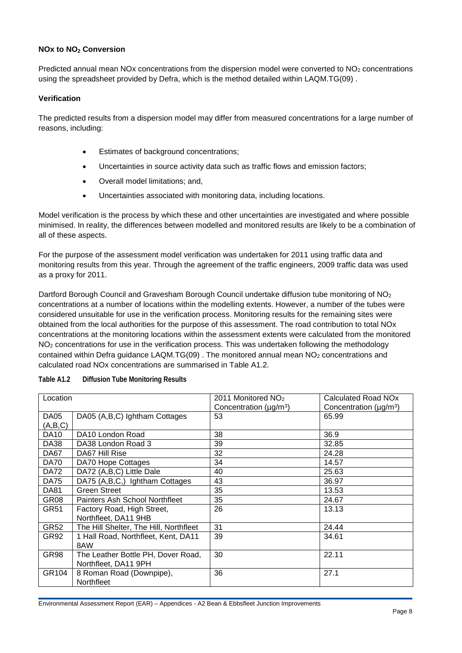#### **NOx to NO2 Conversion**

Predicted annual mean NOx concentrations from the dispersion model were converted to NO<sub>2</sub> concentrations using the spreadsheet provided by Defra, which is the method detailed within LAQM.TG(09) .

#### **Verification**

The predicted results from a dispersion model may differ from measured concentrations for a large number of reasons, including:

- Estimates of background concentrations;
- Uncertainties in source activity data such as traffic flows and emission factors;
- Overall model limitations; and,
- Uncertainties associated with monitoring data, including locations.

Model verification is the process by which these and other uncertainties are investigated and where possible minimised. In reality, the differences between modelled and monitored results are likely to be a combination of all of these aspects.

For the purpose of the assessment model verification was undertaken for 2011 using traffic data and monitoring results from this year. Through the agreement of the traffic engineers, 2009 traffic data was used as a proxy for 2011.

Dartford Borough Council and Gravesham Borough Council undertake diffusion tube monitoring of NO<sub>2</sub> concentrations at a number of locations within the modelling extents. However, a number of the tubes were considered unsuitable for use in the verification process. Monitoring results for the remaining sites were obtained from the local authorities for the purpose of this assessment. The road contribution to total NOx concentrations at the monitoring locations within the assessment extents were calculated from the monitored NO2 concentrations for use in the verification process. This was undertaken following the methodology contained within Defra guidance LAQM.TG(09) . The monitored annual mean NO2 concentrations and calculated road NOx concentrations are summarised in Table A1.2.

| Location         |                                        | 2011 Monitored NO <sub>2</sub>           | Calculated Road NO <sub>x</sub>          |
|------------------|----------------------------------------|------------------------------------------|------------------------------------------|
|                  |                                        | Concentration ( $\mu$ g/m <sup>3</sup> ) | Concentration ( $\mu$ g/m <sup>3</sup> ) |
| DA05             | DA05 (A,B,C) Ightham Cottages          | 53                                       | 65.99                                    |
| (A,B,C)          |                                        |                                          |                                          |
| <b>DA10</b>      | DA10 London Road                       | 38                                       | 36.9                                     |
| <b>DA38</b>      | DA38 London Road 3                     | 39                                       | 32.85                                    |
| DA67             | DA67 Hill Rise                         | 32                                       | 24.28                                    |
| <b>DA70</b>      | DA70 Hope Cottages                     | 34                                       | 14.57                                    |
| <b>DA72</b>      | DA72 (A,B,C) Little Dale               | 40                                       | 25.63                                    |
| <b>DA75</b>      | DA75 (A,B,C,) Ightham Cottages         | 43                                       | 36.97                                    |
| <b>DA81</b>      | Green Street                           | 35                                       | 13.53                                    |
| GR <sub>08</sub> | Painters Ash School Northfleet         | 35                                       | 24.67                                    |
| GR51             | Factory Road, High Street,             | 26                                       | 13.13                                    |
|                  | Northfleet, DA11 9HB                   |                                          |                                          |
| <b>GR52</b>      | The Hill Shelter, The Hill, Northfleet | 31                                       | 24.44                                    |
| GR92             | 1 Hall Road, Northfleet, Kent, DA11    | 39                                       | 34.61                                    |
|                  | 8AW                                    |                                          |                                          |
| GR98             | The Leather Bottle PH, Dover Road,     | 30                                       | 22.11                                    |
|                  | Northfleet, DA11 9PH                   |                                          |                                          |
| GR104            | 8 Roman Road (Downpipe),               | 36                                       | 27.1                                     |
|                  | Northfleet                             |                                          |                                          |

**Table A1.2 Diffusion Tube Monitoring Results**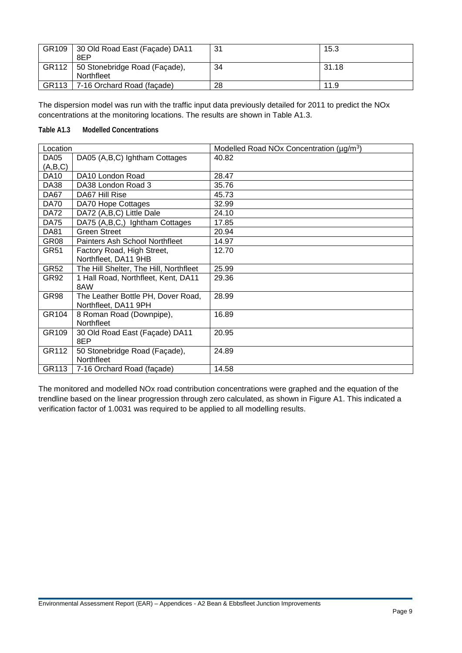| GR109 | 30 Old Road East (Façade) DA11<br>8EP       | 31 | 15.3  |
|-------|---------------------------------------------|----|-------|
| GR112 | 50 Stonebridge Road (Façade),<br>Northfleet | 34 | 31.18 |
| GR113 | 7-16 Orchard Road (facade)                  | 28 | 11.9  |

The dispersion model was run with the traffic input data previously detailed for 2011 to predict the NOx concentrations at the monitoring locations. The results are shown in Table A1.3.

#### **Table A1.3 Modelled Concentrations**

| Location    |                                        | Modelled Road NOx Concentration (µg/m <sup>3</sup> ) |
|-------------|----------------------------------------|------------------------------------------------------|
| DA05        | DA05 (A,B,C) Ightham Cottages          | 40.82                                                |
| (A,B,C)     |                                        |                                                      |
| <b>DA10</b> | DA10 London Road                       | 28.47                                                |
| <b>DA38</b> | DA38 London Road 3                     | 35.76                                                |
| DA67        | DA67 Hill Rise                         | 45.73                                                |
| <b>DA70</b> | DA70 Hope Cottages                     | 32.99                                                |
| <b>DA72</b> | DA72 (A,B,C) Little Dale               | 24.10                                                |
| <b>DA75</b> | DA75 (A,B,C,) Ightham Cottages         | 17.85                                                |
| <b>DA81</b> | <b>Green Street</b>                    | 20.94                                                |
| GR08        | Painters Ash School Northfleet         | 14.97                                                |
| GR51        | Factory Road, High Street,             | 12.70                                                |
|             | Northfleet, DA11 9HB                   |                                                      |
| GR52        | The Hill Shelter, The Hill, Northfleet | 25.99                                                |
| GR92        | 1 Hall Road, Northfleet, Kent, DA11    | 29.36                                                |
|             | 8AW                                    |                                                      |
| GR98        | The Leather Bottle PH, Dover Road,     | 28.99                                                |
|             | Northfleet, DA11 9PH                   |                                                      |
| GR104       | 8 Roman Road (Downpipe),               | 16.89                                                |
|             | Northfleet                             |                                                      |
| GR109       | 30 Old Road East (Façade) DA11         | 20.95                                                |
|             | 8EP                                    |                                                      |
| GR112       | 50 Stonebridge Road (Façade),          | 24.89                                                |
|             | Northfleet                             |                                                      |
| GR113       | 7-16 Orchard Road (façade)             | 14.58                                                |

The monitored and modelled NOx road contribution concentrations were graphed and the equation of the trendline based on the linear progression through zero calculated, as shown in Figure A1. This indicated a verification factor of 1.0031 was required to be applied to all modelling results.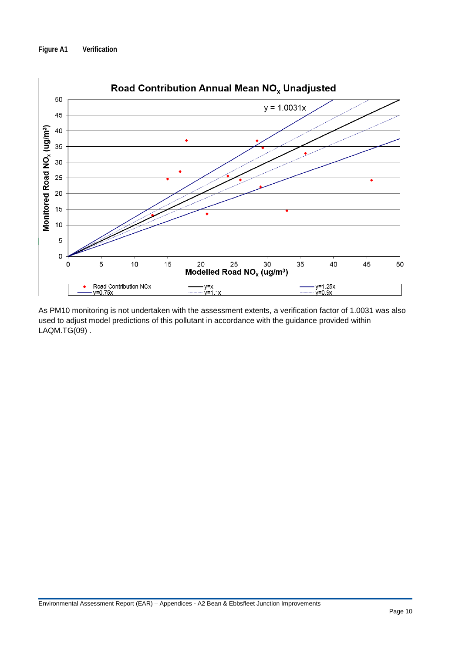#### **Figure A1 Verification**



As PM10 monitoring is not undertaken with the assessment extents, a verification factor of 1.0031 was also used to adjust model predictions of this pollutant in accordance with the guidance provided within LAQM.TG(09) .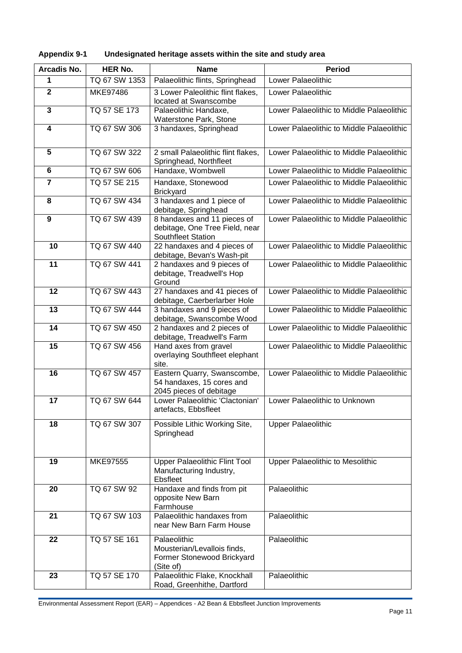| Arcadis No.             | <b>HER No.</b> | <b>Name</b>                                                                            | <b>Period</b>                             |
|-------------------------|----------------|----------------------------------------------------------------------------------------|-------------------------------------------|
| 1                       | TQ 67 SW 1353  | Palaeolithic flints, Springhead                                                        | Lower Palaeolithic                        |
| $\overline{2}$          | MKE97486       | 3 Lower Paleolithic flint flakes,<br>located at Swanscombe                             | Lower Palaeolithic                        |
| $\overline{\mathbf{3}}$ | TQ 57 SE 173   | Palaeolithic Handaxe,<br>Waterstone Park, Stone                                        | Lower Palaeolithic to Middle Palaeolithic |
| $\overline{\mathbf{4}}$ | TQ 67 SW 306   | 3 handaxes, Springhead                                                                 | Lower Palaeolithic to Middle Palaeolithic |
| 5                       | TQ 67 SW 322   | 2 small Palaeolithic flint flakes,<br>Springhead, Northfleet                           | Lower Palaeolithic to Middle Palaeolithic |
| 6                       | TQ 67 SW 606   | Handaxe, Wombwell                                                                      | Lower Palaeolithic to Middle Palaeolithic |
| $\overline{7}$          | TQ 57 SE 215   | Handaxe, Stonewood<br><b>Brickyard</b>                                                 | Lower Palaeolithic to Middle Palaeolithic |
| 8                       | TQ 67 SW 434   | 3 handaxes and 1 piece of<br>debitage, Springhead                                      | Lower Palaeolithic to Middle Palaeolithic |
| $\boldsymbol{9}$        | TQ 67 SW 439   | 8 handaxes and 11 pieces of<br>debitage, One Tree Field, near<br>Southfleet Station    | Lower Palaeolithic to Middle Palaeolithic |
| 10                      | TQ 67 SW 440   | 22 handaxes and 4 pieces of<br>debitage, Bevan's Wash-pit                              | Lower Palaeolithic to Middle Palaeolithic |
| 11                      | TQ 67 SW 441   | 2 handaxes and 9 pieces of<br>debitage, Treadwell's Hop<br>Ground                      | Lower Palaeolithic to Middle Palaeolithic |
| 12                      | TQ 67 SW 443   | 27 handaxes and 41 pieces of<br>debitage, Caerberlarber Hole                           | Lower Palaeolithic to Middle Palaeolithic |
| 13                      | TQ 67 SW 444   | 3 handaxes and 9 pieces of<br>debitage, Swanscombe Wood                                | Lower Palaeolithic to Middle Palaeolithic |
| 14                      | TQ 67 SW 450   | 2 handaxes and 2 pieces of<br>debitage, Treadwell's Farm                               | Lower Palaeolithic to Middle Palaeolithic |
| 15                      | TQ 67 SW 456   | Hand axes from gravel<br>overlaying Southfleet elephant<br>site.                       | Lower Palaeolithic to Middle Palaeolithic |
| 16                      | TQ 67 SW 457   | Eastern Quarry, Swanscombe,<br>54 handaxes, 15 cores and<br>2045 pieces of debitage    | Lower Palaeolithic to Middle Palaeolithic |
| 17                      | TQ 67 SW 644   | Lower Palaeolithic 'Clactonian'<br>artefacts, Ebbsfleet                                | Lower Palaeolithic to Unknown             |
| 18                      | TQ 67 SW 307   | Possible Lithic Working Site,<br>Springhead                                            | <b>Upper Palaeolithic</b>                 |
| 19                      | MKE97555       | Upper Palaeolithic Flint Tool<br>Manufacturing Industry,<br>Ebsfleet                   | Upper Palaeolithic to Mesolithic          |
| 20                      | TQ 67 SW 92    | Handaxe and finds from pit<br>opposite New Barn<br>Farmhouse                           | Palaeolithic                              |
| 21                      | TQ 67 SW 103   | Palaeolithic handaxes from<br>near New Barn Farm House                                 | Palaeolithic                              |
| 22                      | TQ 57 SE 161   | Palaeolithic<br>Mousterian/Levallois finds,<br>Former Stonewood Brickyard<br>(Site of) | Palaeolithic                              |
| 23                      | TQ 57 SE 170   | Palaeolithic Flake, Knockhall<br>Road, Greenhithe, Dartford                            | Palaeolithic                              |

| <b>Appendix 9-1</b> | Undesignated heritage assets within the site and study area |
|---------------------|-------------------------------------------------------------|
|---------------------|-------------------------------------------------------------|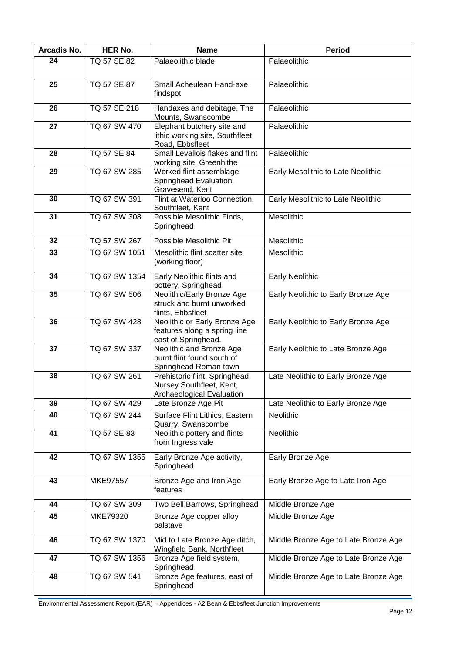| Arcadis No. | <b>HER No.</b>     | <b>Name</b>                                                                                   | <b>Period</b>                        |
|-------------|--------------------|-----------------------------------------------------------------------------------------------|--------------------------------------|
| 24          | TQ 57 SE 82        | Palaeolithic blade                                                                            | Palaeolithic                         |
|             |                    |                                                                                               |                                      |
| 25          | <b>TQ 57 SE 87</b> | Small Acheulean Hand-axe<br>findspot                                                          | Palaeolithic                         |
| 26          | TQ 57 SE 218       | Handaxes and debitage, The<br>Mounts, Swanscombe                                              | Palaeolithic                         |
| 27          | TQ 67 SW 470       | Elephant butchery site and<br>lithic working site, Southfleet<br>Road, Ebbsfleet              | Palaeolithic                         |
| 28          | TQ 57 SE 84        | Small Levallois flakes and flint<br>working site, Greenhithe                                  | Palaeolithic                         |
| 29          | TQ 67 SW 285       | Worked flint assemblage<br>Springhead Evaluation,<br>Gravesend, Kent                          | Early Mesolithic to Late Neolithic   |
| 30          | TQ 67 SW 391       | Flint at Waterloo Connection,<br>Southfleet, Kent                                             | Early Mesolithic to Late Neolithic   |
| 31          | TQ 67 SW 308       | Possible Mesolithic Finds,<br>Springhead                                                      | Mesolithic                           |
| 32          | TQ 57 SW 267       | Possible Mesolithic Pit                                                                       | <b>Mesolithic</b>                    |
| 33          | TQ 67 SW 1051      | Mesolithic flint scatter site<br>(working floor)                                              | Mesolithic                           |
| 34          | TQ 67 SW 1354      | Early Neolithic flints and<br>pottery, Springhead                                             | Early Neolithic                      |
| 35          | TQ 67 SW 506       | Neolithic/Early Bronze Age<br>struck and burnt unworked<br>flints, Ebbsfleet                  | Early Neolithic to Early Bronze Age  |
| 36          | TQ 67 SW 428       | Neolithic or Early Bronze Age<br>features along a spring line<br>east of Springhead.          | Early Neolithic to Early Bronze Age  |
| 37          | TQ 67 SW 337       | Neolithic and Bronze Age<br>burnt flint found south of<br>Springhead Roman town               | Early Neolithic to Late Bronze Age   |
| 38          | TQ 67 SW 261       | Prehistoric flint. Springhead<br>Nursey Southfleet, Kent,<br><b>Archaeological Evaluation</b> | Late Neolithic to Early Bronze Age   |
| 39          | TQ 67 SW 429       | Late Bronze Age Pit                                                                           | Late Neolithic to Early Bronze Age   |
| 40          | TQ 67 SW 244       | Surface Flint Lithics, Eastern<br>Quarry, Swanscombe                                          | Neolithic                            |
| 41          | <b>TQ 57 SE 83</b> | Neolithic pottery and flints<br>from Ingress vale                                             | Neolithic                            |
| 42          | TQ 67 SW 1355      | Early Bronze Age activity,<br>Springhead                                                      | Early Bronze Age                     |
| 43          | MKE97557           | Bronze Age and Iron Age<br>features                                                           | Early Bronze Age to Late Iron Age    |
| 44          | TQ 67 SW 309       | Two Bell Barrows, Springhead                                                                  | Middle Bronze Age                    |
| 45          | MKE79320           | Bronze Age copper alloy<br>palstave                                                           | Middle Bronze Age                    |
| 46          | TQ 67 SW 1370      | Mid to Late Bronze Age ditch,<br>Wingfield Bank, Northfleet                                   | Middle Bronze Age to Late Bronze Age |
| 47          | TQ 67 SW 1356      | Bronze Age field system,<br>Springhead                                                        | Middle Bronze Age to Late Bronze Age |
| 48          | TQ 67 SW 541       | Bronze Age features, east of<br>Springhead                                                    | Middle Bronze Age to Late Bronze Age |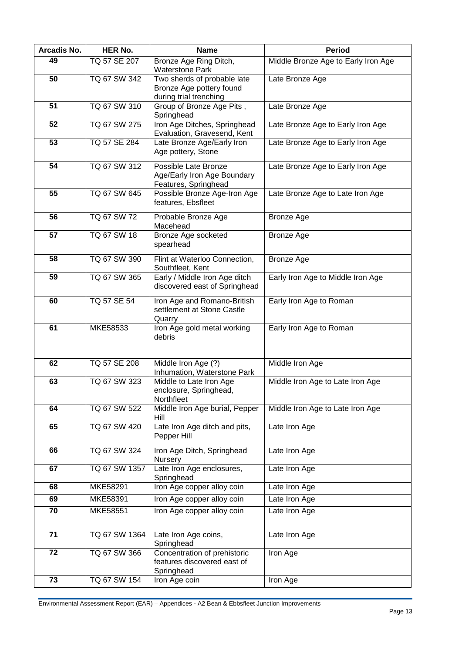| Arcadis No. | <b>HER No.</b> | <b>Name</b>                                                                       | <b>Period</b>                       |
|-------------|----------------|-----------------------------------------------------------------------------------|-------------------------------------|
| 49          | TQ 57 SE 207   | Bronze Age Ring Ditch,<br><b>Waterstone Park</b>                                  | Middle Bronze Age to Early Iron Age |
| 50          | TQ 67 SW 342   | Two sherds of probable late<br>Bronze Age pottery found<br>during trial trenching | Late Bronze Age                     |
| 51          | TQ 67 SW 310   | Group of Bronze Age Pits,<br>Springhead                                           | Late Bronze Age                     |
| 52          | TQ 67 SW 275   | Iron Age Ditches, Springhead<br>Evaluation, Gravesend, Kent                       | Late Bronze Age to Early Iron Age   |
| 53          | TQ 57 SE 284   | Late Bronze Age/Early Iron<br>Age pottery, Stone                                  | Late Bronze Age to Early Iron Age   |
| 54          | TQ 67 SW 312   | Possible Late Bronze<br>Age/Early Iron Age Boundary<br>Features, Springhead       | Late Bronze Age to Early Iron Age   |
| 55          | TQ 67 SW 645   | Possible Bronze Age-Iron Age<br>features, Ebsfleet                                | Late Bronze Age to Late Iron Age    |
| 56          | TQ 67 SW 72    | Probable Bronze Age<br>Macehead                                                   | <b>Bronze Age</b>                   |
| 57          | TQ 67 SW 18    | Bronze Age socketed<br>spearhead                                                  | <b>Bronze Age</b>                   |
| 58          | TQ 67 SW 390   | Flint at Waterloo Connection,<br>Southfleet, Kent                                 | <b>Bronze Age</b>                   |
| 59          | TQ 67 SW 365   | Early / Middle Iron Age ditch<br>discovered east of Springhead                    | Early Iron Age to Middle Iron Age   |
| 60          | TQ 57 SE 54    | Iron Age and Romano-British<br>settlement at Stone Castle<br>Quarry               | Early Iron Age to Roman             |
| 61          | MKE58533       | Iron Age gold metal working<br>debris                                             | Early Iron Age to Roman             |
| 62          | TQ 57 SE 208   | Middle Iron Age (?)<br>Inhumation, Waterstone Park                                | Middle Iron Age                     |
| 63          | TQ 67 SW 323   | Middle to Late Iron Age<br>enclosure, Springhead,<br>Northfleet                   | Middle Iron Age to Late Iron Age    |
| 64          | TQ 67 SW 522   | Middle Iron Age burial, Pepper<br>Hill                                            | Middle Iron Age to Late Iron Age    |
| 65          | TQ 67 SW 420   | Late Iron Age ditch and pits,<br>Pepper Hill                                      | Late Iron Age                       |
| 66          | TQ 67 SW 324   | Iron Age Ditch, Springhead<br>Nursery                                             | Late Iron Age                       |
| 67          | TQ 67 SW 1357  | Late Iron Age enclosures,<br>Springhead                                           | Late Iron Age                       |
| 68          | MKE58291       | Iron Age copper alloy coin                                                        | Late Iron Age                       |
| 69          | MKE58391       | Iron Age copper alloy coin                                                        | Late Iron Age                       |
| 70          | MKE58551       | Iron Age copper alloy coin                                                        | Late Iron Age                       |
| 71          | TQ 67 SW 1364  | Late Iron Age coins,<br>Springhead                                                | Late Iron Age                       |
| 72          | TQ 67 SW 366   | Concentration of prehistoric<br>features discovered east of<br>Springhead         | Iron Age                            |
| 73          | TQ 67 SW 154   | Iron Age coin                                                                     | Iron Age                            |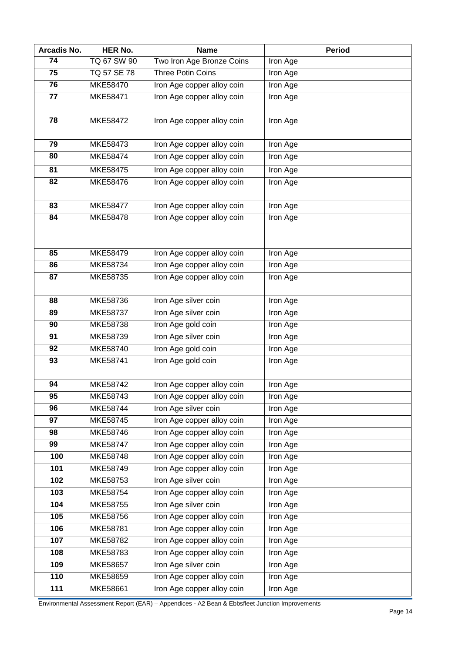| Arcadis No. | <b>HER No.</b>  | <b>Name</b>                                              | <b>Period</b>        |
|-------------|-----------------|----------------------------------------------------------|----------------------|
| 74          | TQ 67 SW 90     | Two Iron Age Bronze Coins                                | Iron Age             |
| 75          | TQ 57 SE 78     | <b>Three Potin Coins</b>                                 | Iron Age             |
| 76          | MKE58470        | Iron Age copper alloy coin                               | Iron Age             |
| 77          | MKE58471        | Iron Age copper alloy coin                               | Iron Age             |
|             |                 |                                                          |                      |
| 78          | MKE58472        | Iron Age copper alloy coin                               | Iron Age             |
| 79          | MKE58473        | Iron Age copper alloy coin                               | Iron Age             |
| 80          | MKE58474        | Iron Age copper alloy coin                               | Iron Age             |
| 81          | MKE58475        | Iron Age copper alloy coin                               | Iron Age             |
| 82          | MKE58476        | Iron Age copper alloy coin                               | Iron Age             |
|             |                 |                                                          |                      |
| 83          | <b>MKE58477</b> | Iron Age copper alloy coin                               | Iron Age             |
| 84          | MKE58478        | Iron Age copper alloy coin                               | Iron Age             |
|             |                 |                                                          |                      |
| 85          | MKE58479        |                                                          |                      |
| 86          | MKE58734        | Iron Age copper alloy coin<br>Iron Age copper alloy coin | Iron Age<br>Iron Age |
| 87          | MKE58735        | Iron Age copper alloy coin                               |                      |
|             |                 |                                                          | Iron Age             |
| 88          | MKE58736        | Iron Age silver coin                                     | Iron Age             |
| 89          | MKE58737        | Iron Age silver coin                                     | Iron Age             |
| 90          | MKE58738        | Iron Age gold coin                                       | Iron Age             |
| 91          | MKE58739        | Iron Age silver coin                                     | Iron Age             |
| 92          | MKE58740        | Iron Age gold coin                                       | Iron Age             |
| 93          | MKE58741        | Iron Age gold coin                                       | Iron Age             |
|             |                 |                                                          |                      |
| 94          | MKE58742        | Iron Age copper alloy coin                               | Iron Age             |
| 95          | MKE58743        | Iron Age copper alloy coin                               | Iron Age             |
| 96          | MKE58744        | Iron Age silver coin                                     | Iron Age             |
| 97          | MKE58745        | Iron Age copper alloy coin                               | Iron Age             |
| 98          | MKE58746        | Iron Age copper alloy coin                               | Iron Age             |
| 99          | <b>MKE58747</b> | Iron Age copper alloy coin                               | Iron Age             |
| 100         | <b>MKE58748</b> | Iron Age copper alloy coin                               | Iron Age             |
| 101         | MKE58749        | Iron Age copper alloy coin                               | Iron Age             |
| 102         | MKE58753        | Iron Age silver coin                                     | Iron Age             |
| 103         | MKE58754        | Iron Age copper alloy coin                               | Iron Age             |
| 104         | MKE58755        | Iron Age silver coin                                     | Iron Age             |
| 105         | MKE58756        | Iron Age copper alloy coin                               | Iron Age             |
| 106         | MKE58781        | Iron Age copper alloy coin                               | Iron Age             |
| 107         | MKE58782        | Iron Age copper alloy coin                               | Iron Age             |
| 108         | MKE58783        | Iron Age copper alloy coin                               | Iron Age             |
| 109         | MKE58657        | Iron Age silver coin                                     | Iron Age             |
| 110         | MKE58659        | Iron Age copper alloy coin                               | Iron Age             |
| 111         | MKE58661        | Iron Age copper alloy coin                               | Iron Age             |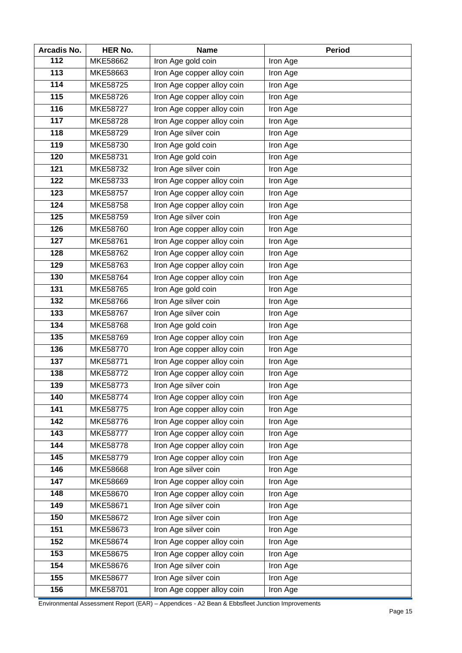| Arcadis No. | <b>HER No.</b>  | <b>Name</b>                | <b>Period</b>   |
|-------------|-----------------|----------------------------|-----------------|
| 112         | MKE58662        | Iron Age gold coin         | Iron Age        |
| 113         | MKE58663        | Iron Age copper alloy coin | Iron Age        |
| 114         | MKE58725        | Iron Age copper alloy coin | Iron Age        |
| 115         | MKE58726        | Iron Age copper alloy coin | <b>Iron Age</b> |
| 116         | MKE58727        | Iron Age copper alloy coin | Iron Age        |
| 117         | MKE58728        | Iron Age copper alloy coin | Iron Age        |
| 118         | MKE58729        | Iron Age silver coin       | Iron Age        |
| 119         | MKE58730        | Iron Age gold coin         | Iron Age        |
| 120         | MKE58731        | Iron Age gold coin         | Iron Age        |
| 121         | MKE58732        | Iron Age silver coin       | Iron Age        |
| 122         | MKE58733        | Iron Age copper alloy coin | Iron Age        |
| 123         | <b>MKE58757</b> | Iron Age copper alloy coin | Iron Age        |
| 124         | MKE58758        | Iron Age copper alloy coin | Iron Age        |
| 125         | MKE58759        | Iron Age silver coin       | Iron Age        |
| 126         | MKE58760        | Iron Age copper alloy coin | Iron Age        |
| 127         | MKE58761        | Iron Age copper alloy coin | Iron Age        |
| 128         | MKE58762        | Iron Age copper alloy coin | Iron Age        |
| 129         | MKE58763        | Iron Age copper alloy coin | Iron Age        |
| 130         | MKE58764        | Iron Age copper alloy coin | Iron Age        |
| 131         | MKE58765        | Iron Age gold coin         | Iron Age        |
| 132         | MKE58766        | Iron Age silver coin       | Iron Age        |
| 133         | MKE58767        | Iron Age silver coin       | Iron Age        |
| 134         | MKE58768        | Iron Age gold coin         | Iron Age        |
| 135         | MKE58769        | Iron Age copper alloy coin | Iron Age        |
| 136         | MKE58770        | Iron Age copper alloy coin | <b>Iron Age</b> |
| 137         | MKE58771        | Iron Age copper alloy coin | Iron Age        |
| 138         | MKE58772        | Iron Age copper alloy coin | Iron Age        |
| 139         | MKE58773        | Iron Age silver coin       | Iron Age        |
| 140         | MKE58774        | Iron Age copper alloy coin | Iron Age        |
| 141         | MKE58775        | Iron Age copper alloy coin | Iron Age        |
| 142         | MKE58776        | Iron Age copper alloy coin | Iron Age        |
| 143         | <b>MKE58777</b> | Iron Age copper alloy coin | Iron Age        |
| 144         | MKE58778        | Iron Age copper alloy coin | Iron Age        |
| 145         | MKE58779        | Iron Age copper alloy coin | Iron Age        |
| 146         | MKE58668        | Iron Age silver coin       | Iron Age        |
| 147         | MKE58669        | Iron Age copper alloy coin | Iron Age        |
| 148         | MKE58670        | Iron Age copper alloy coin | Iron Age        |
| 149         | MKE58671        | Iron Age silver coin       | Iron Age        |
| 150         | MKE58672        | Iron Age silver coin       | Iron Age        |
| 151         | MKE58673        | Iron Age silver coin       | Iron Age        |
| 152         | MKE58674        | Iron Age copper alloy coin | Iron Age        |
| 153         | MKE58675        | Iron Age copper alloy coin | Iron Age        |
| 154         | MKE58676        | Iron Age silver coin       | Iron Age        |
| 155         | MKE58677        | Iron Age silver coin       | Iron Age        |
| 156         | MKE58701        | Iron Age copper alloy coin | Iron Age        |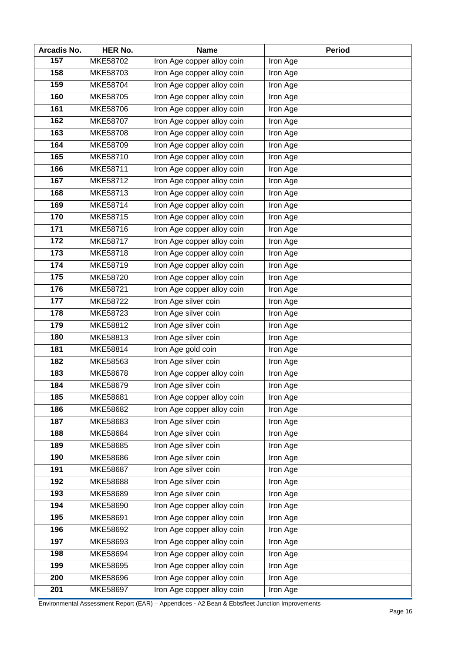| Arcadis No.     | <b>HER No.</b>  | <b>Name</b>                | <b>Period</b> |
|-----------------|-----------------|----------------------------|---------------|
| 157             | MKE58702        | Iron Age copper alloy coin | Iron Age      |
| 158             | MKE58703        | Iron Age copper alloy coin | Iron Age      |
| 159             | MKE58704        | Iron Age copper alloy coin | Iron Age      |
| 160             | MKE58705        | Iron Age copper alloy coin | Iron Age      |
| 161             | MKE58706        | Iron Age copper alloy coin | Iron Age      |
| 162             | <b>MKE58707</b> | Iron Age copper alloy coin | Iron Age      |
| 163             | MKE58708        | Iron Age copper alloy coin | Iron Age      |
| 164             | <b>MKE58709</b> | Iron Age copper alloy coin | Iron Age      |
| 165             | MKE58710        | Iron Age copper alloy coin | Iron Age      |
| 166             | MKE58711        | Iron Age copper alloy coin | Iron Age      |
| 167             | MKE58712        | Iron Age copper alloy coin | Iron Age      |
| 168             | MKE58713        | Iron Age copper alloy coin | Iron Age      |
| 169             | MKE58714        | Iron Age copper alloy coin | Iron Age      |
| 170             | MKE58715        | Iron Age copper alloy coin | Iron Age      |
| 171             | MKE58716        | Iron Age copper alloy coin | Iron Age      |
| 172             | MKE58717        | Iron Age copper alloy coin | Iron Age      |
| 173             | MKE58718        | Iron Age copper alloy coin | Iron Age      |
| $\frac{1}{174}$ | MKE58719        | Iron Age copper alloy coin | Iron Age      |
| 175             | MKE58720        | Iron Age copper alloy coin | Iron Age      |
| 176             | MKE58721        | Iron Age copper alloy coin | Iron Age      |
| 177             | MKE58722        | Iron Age silver coin       | Iron Age      |
| 178             | MKE58723        | Iron Age silver coin       | Iron Age      |
| 179             | MKE58812        | Iron Age silver coin       | Iron Age      |
| 180             | MKE58813        | Iron Age silver coin       | Iron Age      |
| 181             | MKE58814        | Iron Age gold coin         | Iron Age      |
| 182             | MKE58563        | Iron Age silver coin       | Iron Age      |
| 183             | MKE58678        | Iron Age copper alloy coin | Iron Age      |
| 184             | MKE58679        | Iron Age silver coin       | Iron Age      |
| 185             | MKE58681        | Iron Age copper alloy coin | Iron Age      |
| 186             | MKE58682        | Iron Age copper alloy coin | Iron Age      |
| 187             | MKE58683        | Iron Age silver coin       | Iron Age      |
| 188             | MKE58684        | Iron Age silver coin       | Iron Age      |
| 189             | MKE58685        | Iron Age silver coin       | Iron Age      |
| 190             | MKE58686        | Iron Age silver coin       | Iron Age      |
| 191             | MKE58687        | Iron Age silver coin       | Iron Age      |
| 192             | MKE58688        | Iron Age silver coin       | Iron Age      |
| 193             | MKE58689        | Iron Age silver coin       | Iron Age      |
| 194             | MKE58690        | Iron Age copper alloy coin | Iron Age      |
| 195             | MKE58691        | Iron Age copper alloy coin | Iron Age      |
| 196             | MKE58692        | Iron Age copper alloy coin | Iron Age      |
| 197             | MKE58693        | Iron Age copper alloy coin | Iron Age      |
| 198             | MKE58694        | Iron Age copper alloy coin | Iron Age      |
| 199             | MKE58695        | Iron Age copper alloy coin | Iron Age      |
| 200             | MKE58696        | Iron Age copper alloy coin | Iron Age      |
| 201             | MKE58697        | Iron Age copper alloy coin | Iron Age      |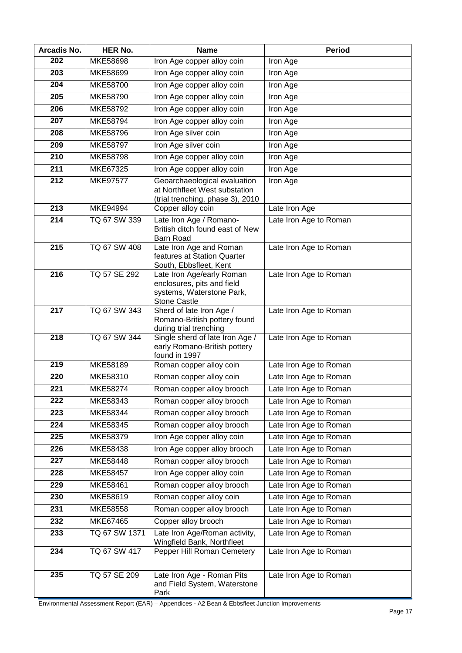| Arcadis No. | <b>HER No.</b>  | <b>Name</b>                                                                                                 | <b>Period</b>          |
|-------------|-----------------|-------------------------------------------------------------------------------------------------------------|------------------------|
| 202         | MKE58698        | Iron Age copper alloy coin                                                                                  | Iron Age               |
| 203         | MKE58699        | Iron Age copper alloy coin                                                                                  | Iron Age               |
| 204         | MKE58700        | Iron Age copper alloy coin                                                                                  | Iron Age               |
| 205         | MKE58790        | Iron Age copper alloy coin                                                                                  | Iron Age               |
| 206         | MKE58792        | Iron Age copper alloy coin                                                                                  | Iron Age               |
| 207         | MKE58794        | Iron Age copper alloy coin                                                                                  | Iron Age               |
| 208         | MKE58796        | Iron Age silver coin                                                                                        | Iron Age               |
| 209         | MKE58797        | Iron Age silver coin                                                                                        | Iron Age               |
| 210         | MKE58798        | Iron Age copper alloy coin                                                                                  | Iron Age               |
| 211         | MKE67325        | Iron Age copper alloy coin                                                                                  | Iron Age               |
| 212         | <b>MKE97577</b> | Geoarchaeological evaluation<br>at Northfleet West substation<br>(trial trenching, phase 3), 2010           | Iron Age               |
| 213         | <b>MKE94994</b> | Copper alloy coin                                                                                           | Late Iron Age          |
| 214         | TQ 67 SW 339    | Late Iron Age / Romano-<br>British ditch found east of New<br><b>Barn Road</b>                              | Late Iron Age to Roman |
| 215         | TQ 67 SW 408    | Late Iron Age and Roman<br>features at Station Quarter<br>South, Ebbsfleet, Kent                            | Late Iron Age to Roman |
| 216         | TQ 57 SE 292    | Late Iron Age/early Roman<br>enclosures, pits and field<br>systems, Waterstone Park,<br><b>Stone Castle</b> | Late Iron Age to Roman |
| 217         | TQ 67 SW 343    | Sherd of late Iron Age /<br>Romano-British pottery found<br>during trial trenching                          | Late Iron Age to Roman |
| 218         | TQ 67 SW 344    | Single sherd of late Iron Age /<br>early Romano-British pottery<br>found in 1997                            | Late Iron Age to Roman |
| 219         | MKE58189        | Roman copper alloy coin                                                                                     | Late Iron Age to Roman |
| 220         | MKE58310        | Roman copper alloy coin                                                                                     | Late Iron Age to Roman |
| 221         | MKE58274        | Roman copper alloy brooch                                                                                   | Late Iron Age to Roman |
| 222         | MKE58343        | Roman copper alloy brooch                                                                                   | Late Iron Age to Roman |
| 223         | MKE58344        | Roman copper alloy brooch                                                                                   | Late Iron Age to Roman |
| 224         | MKE58345        | Roman copper alloy brooch                                                                                   | Late Iron Age to Roman |
| 225         | MKE58379        | Iron Age copper alloy coin                                                                                  | Late Iron Age to Roman |
| 226         | MKE58438        | Iron Age copper alloy brooch                                                                                | Late Iron Age to Roman |
| 227         | MKE58448        | Roman copper alloy brooch                                                                                   | Late Iron Age to Roman |
| 228         | MKE58457        | Iron Age copper alloy coin                                                                                  | Late Iron Age to Roman |
| 229         | MKE58461        | Roman copper alloy brooch                                                                                   | Late Iron Age to Roman |
| 230         | MKE58619        | Roman copper alloy coin                                                                                     | Late Iron Age to Roman |
| 231         | MKE58558        | Roman copper alloy brooch                                                                                   | Late Iron Age to Roman |
| 232         | MKE67465        | Copper alloy brooch                                                                                         | Late Iron Age to Roman |
| 233         | TQ 67 SW 1371   | Late Iron Age/Roman activity,<br>Wingfield Bank, Northfleet                                                 | Late Iron Age to Roman |
| 234         | TQ 67 SW 417    | Pepper Hill Roman Cemetery                                                                                  | Late Iron Age to Roman |
| 235         | TQ 57 SE 209    | Late Iron Age - Roman Pits<br>and Field System, Waterstone<br>Park                                          | Late Iron Age to Roman |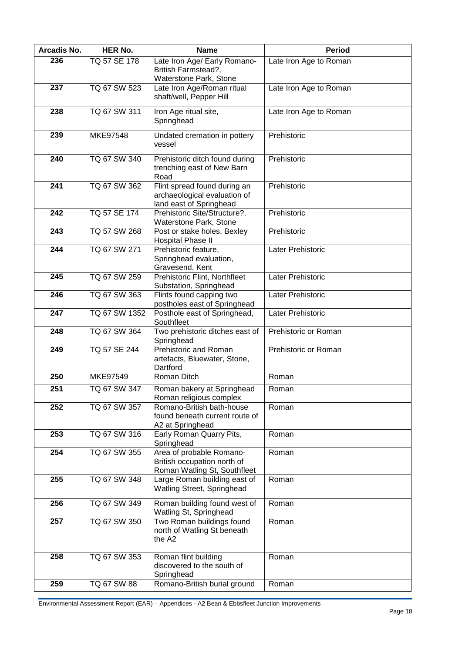| Arcadis No. | HER No.         | <b>Name</b>                                                                             | <b>Period</b>          |
|-------------|-----------------|-----------------------------------------------------------------------------------------|------------------------|
| 236         | TQ 57 SE 178    | Late Iron Age/ Early Romano-<br>British Farmstead?,<br>Waterstone Park, Stone           | Late Iron Age to Roman |
| 237         | TQ 67 SW 523    | Late Iron Age/Roman ritual<br>shaft/well, Pepper Hill                                   | Late Iron Age to Roman |
| 238         | TQ 67 SW 311    | Iron Age ritual site,<br>Springhead                                                     | Late Iron Age to Roman |
| 239         | <b>MKE97548</b> | Undated cremation in pottery<br>vessel                                                  | Prehistoric            |
| 240         | TQ 67 SW 340    | Prehistoric ditch found during<br>trenching east of New Barn<br>Road                    | Prehistoric            |
| 241         | TQ 67 SW 362    | Flint spread found during an<br>archaeological evaluation of<br>land east of Springhead | Prehistoric            |
| 242         | TQ 57 SE 174    | Prehistoric Site/Structure?,<br>Waterstone Park, Stone                                  | Prehistoric            |
| 243         | TQ 57 SW 268    | Post or stake holes, Bexley<br>Hospital Phase II                                        | Prehistoric            |
| 244         | TQ 67 SW 271    | Prehistoric feature,<br>Springhead evaluation,<br>Gravesend, Kent                       | Later Prehistoric      |
| 245         | TQ 67 SW 259    | Prehistoric Flint, Northfleet<br>Substation, Springhead                                 | Later Prehistoric      |
| 246         | TQ 67 SW 363    | Flints found capping two<br>postholes east of Springhead                                | Later Prehistoric      |
| 247         | TQ 67 SW 1352   | Posthole east of Springhead,<br>Southfleet                                              | Later Prehistoric      |
| 248         | TQ 67 SW 364    | Two prehistoric ditches east of<br>Springhead                                           | Prehistoric or Roman   |
| 249         | TQ 57 SE 244    | Prehistoric and Roman<br>artefacts, Bluewater, Stone,<br>Dartford                       | Prehistoric or Roman   |
| 250         | MKE97549        | Roman Ditch                                                                             | Roman                  |
| 251         | TQ 67 SW 347    | Roman bakery at Springhead<br>Roman religious complex                                   | Roman                  |
| 252         | TQ 67 SW 357    | Romano-British bath-house<br>found beneath current route of<br>A2 at Springhead         | Roman                  |
| 253         | TQ 67 SW 316    | Early Roman Quarry Pits,<br>Springhead                                                  | Roman                  |
| 254         | TQ 67 SW 355    | Area of probable Romano-<br>British occupation north of<br>Roman Watling St, Southfleet | Roman                  |
| 255         | TQ 67 SW 348    | Large Roman building east of<br>Watling Street, Springhead                              | Roman                  |
| 256         | TQ 67 SW 349    | Roman building found west of<br>Watling St, Springhead                                  | Roman                  |
| 257         | TQ 67 SW 350    | Two Roman buildings found<br>north of Watling St beneath<br>the A2                      | Roman                  |
| 258         | TQ 67 SW 353    | Roman flint building<br>discovered to the south of<br>Springhead                        | Roman                  |
| 259         | TQ 67 SW 88     | Romano-British burial ground                                                            | Roman                  |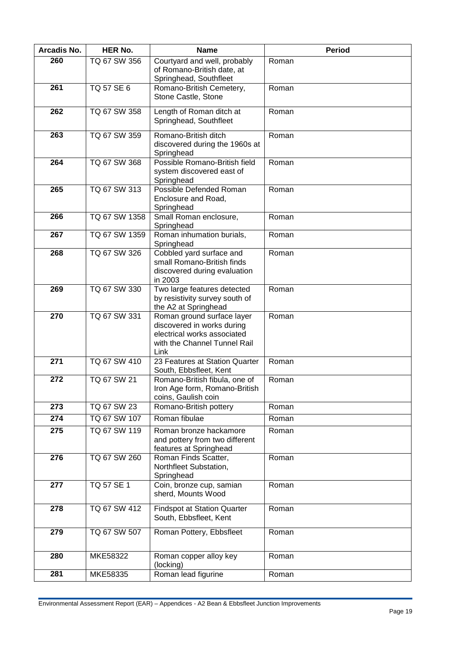| Arcadis No. | <b>HER No.</b> | <b>Name</b>                                                                                                                     | <b>Period</b> |
|-------------|----------------|---------------------------------------------------------------------------------------------------------------------------------|---------------|
| 260         | TQ 67 SW 356   | Courtyard and well, probably<br>of Romano-British date, at<br>Springhead, Southfleet                                            | Roman         |
| 261         | TQ 57 SE 6     | Romano-British Cemetery,<br>Stone Castle, Stone                                                                                 | Roman         |
| 262         | TQ 67 SW 358   | Length of Roman ditch at<br>Springhead, Southfleet                                                                              | Roman         |
| 263         | TQ 67 SW 359   | Romano-British ditch<br>discovered during the 1960s at<br>Springhead                                                            | Roman         |
| 264         | TQ 67 SW 368   | Possible Romano-British field<br>system discovered east of<br>Springhead                                                        | Roman         |
| 265         | TQ 67 SW 313   | Possible Defended Roman<br>Enclosure and Road,<br>Springhead                                                                    | Roman         |
| 266         | TQ 67 SW 1358  | Small Roman enclosure,<br>Springhead                                                                                            | Roman         |
| 267         | TQ 67 SW 1359  | Roman inhumation burials,<br>Springhead                                                                                         | Roman         |
| 268         | TQ 67 SW 326   | Cobbled yard surface and<br>small Romano-British finds<br>discovered during evaluation<br>in 2003                               | Roman         |
| 269         | TQ 67 SW 330   | Two large features detected<br>by resistivity survey south of<br>the A2 at Springhead                                           | Roman         |
| 270         | TQ 67 SW 331   | Roman ground surface layer<br>discovered in works during<br>electrical works associated<br>with the Channel Tunnel Rail<br>Link | Roman         |
| 271         | TQ 67 SW 410   | 23 Features at Station Quarter<br>South, Ebbsfleet, Kent                                                                        | Roman         |
| 272         | TQ 67 SW 21    | Romano-British fibula, one of<br>Iron Age form, Romano-British<br>coins, Gaulish coin                                           | Roman         |
| 273         | TQ 67 SW 23    | Romano-British pottery                                                                                                          | Roman         |
| 274         | TQ 67 SW 107   | Roman fibulae                                                                                                                   | Roman         |
| 275         | TQ 67 SW 119   | Roman bronze hackamore<br>and pottery from two different<br>features at Springhead                                              | Roman         |
| 276         | TQ 67 SW 260   | Roman Finds Scatter,<br>Northfleet Substation,<br>Springhead                                                                    | Roman         |
| 277         | TQ 57 SE 1     | Coin, bronze cup, samian<br>sherd, Mounts Wood                                                                                  | Roman         |
| 278         | TQ 67 SW 412   | <b>Findspot at Station Quarter</b><br>South, Ebbsfleet, Kent                                                                    | Roman         |
| 279         | TQ 67 SW 507   | Roman Pottery, Ebbsfleet                                                                                                        | Roman         |
| 280         | MKE58322       | Roman copper alloy key<br>(locking)                                                                                             | Roman         |
| 281         | MKE58335       | Roman lead figurine                                                                                                             | Roman         |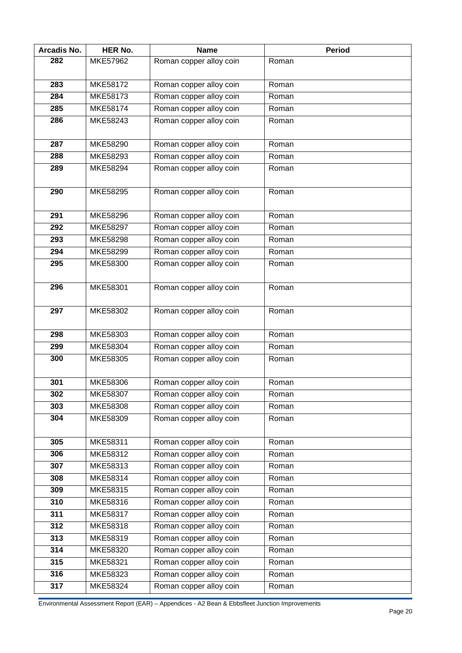| Arcadis No. | <b>HER No.</b>  | <b>Name</b>             | <b>Period</b> |
|-------------|-----------------|-------------------------|---------------|
| 282         | MKE57962        | Roman copper alloy coin | Roman         |
|             |                 |                         |               |
| 283         | <b>MKE58172</b> | Roman copper alloy coin | Roman         |
| 284         | MKE58173        | Roman copper alloy coin | Roman         |
| 285         | MKE58174        | Roman copper alloy coin | Roman         |
| 286         | MKE58243        | Roman copper alloy coin | Roman         |
|             |                 |                         |               |
| 287         | MKE58290        | Roman copper alloy coin | Roman         |
| 288         | MKE58293        | Roman copper alloy coin | Roman         |
| 289         | MKE58294        | Roman copper alloy coin | Roman         |
|             |                 |                         |               |
| 290         | MKE58295        | Roman copper alloy coin | Roman         |
|             |                 |                         |               |
| 291         | MKE58296        | Roman copper alloy coin | Roman         |
| 292         | MKE58297        | Roman copper alloy coin | Roman         |
| 293         | MKE58298        | Roman copper alloy coin | Roman         |
| 294         | MKE58299        | Roman copper alloy coin | Roman         |
| 295         | MKE58300        | Roman copper alloy coin | Roman         |
|             |                 |                         |               |
| 296         | MKE58301        | Roman copper alloy coin | Roman         |
|             |                 |                         |               |
| 297         | MKE58302        | Roman copper alloy coin | Roman         |
|             |                 |                         |               |
| 298         | MKE58303        | Roman copper alloy coin | Roman         |
| 299         | MKE58304        | Roman copper alloy coin | Roman         |
| 300         | MKE58305        | Roman copper alloy coin | Roman         |
|             |                 |                         |               |
| 301         | <b>MKE58306</b> | Roman copper alloy coin | Roman         |
| 302         | MKE58307        | Roman copper alloy coin | Roman         |
| 303         | MKE58308        | Roman copper alloy coin | Roman         |
| 304         | MKE58309        | Roman copper alloy coin | Roman         |
|             |                 |                         |               |
| 305         | MKE58311        | Roman copper alloy coin | Roman         |
| 306         | MKE58312        | Roman copper alloy coin | Roman         |
| 307         | MKE58313        | Roman copper alloy coin | Roman         |
| 308         | MKE58314        | Roman copper alloy coin | Roman         |
| 309         | MKE58315        | Roman copper alloy coin | Roman         |
| 310         | MKE58316        | Roman copper alloy coin | Roman         |
| 311         | MKE58317        | Roman copper alloy coin | Roman         |
| 312         | MKE58318        | Roman copper alloy coin | Roman         |
| 313         | MKE58319        | Roman copper alloy coin | Roman         |
| 314         | MKE58320        | Roman copper alloy coin | Roman         |
| 315         | MKE58321        | Roman copper alloy coin | Roman         |
| 316         | MKE58323        | Roman copper alloy coin | Roman         |
| 317         | MKE58324        | Roman copper alloy coin | Roman         |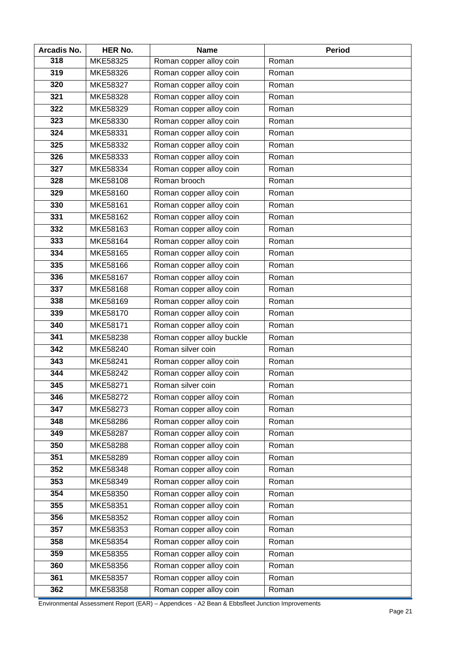| <b>Arcadis No.</b> | <b>HER No.</b>  | <b>Name</b>               | <b>Period</b>       |
|--------------------|-----------------|---------------------------|---------------------|
| 318                | MKE58325        | Roman copper alloy coin   | Roman               |
| 319                | MKE58326        | Roman copper alloy coin   | Roman               |
| 320                | <b>MKE58327</b> | Roman copper alloy coin   | Roman               |
| 321                | MKE58328        | Roman copper alloy coin   | Roman               |
| 322                | MKE58329        | Roman copper alloy coin   | Roman               |
| 323                | MKE58330        | Roman copper alloy coin   | Roman               |
| 324                | MKE58331        | Roman copper alloy coin   | Roman               |
| 325                | MKE58332        | Roman copper alloy coin   | Roman               |
| 326                | MKE58333        | Roman copper alloy coin   | Roman               |
| 327                | MKE58334        | Roman copper alloy coin   | Roman               |
| 328                | MKE58108        | Roman brooch              | Roman               |
| 329                | MKE58160        | Roman copper alloy coin   | Roman               |
| 330                | MKE58161        | Roman copper alloy coin   | Roman               |
| 331                | <b>MKE58162</b> | Roman copper alloy coin   | Roman               |
| 332                | MKE58163        | Roman copper alloy coin   | Roman               |
| 333                | MKE58164        | Roman copper alloy coin   | Roman               |
| $\overline{3}34$   | MKE58165        | Roman copper alloy coin   | Roman               |
| 335                | MKE58166        | Roman copper alloy coin   | $\overline{R}$ oman |
| 336                | MKE58167        | Roman copper alloy coin   | Roman               |
| 337                | MKE58168        | Roman copper alloy coin   | Roman               |
| 338                | MKE58169        | Roman copper alloy coin   | Roman               |
| 339                | MKE58170        | Roman copper alloy coin   | Roman               |
| 340                | MKE58171        | Roman copper alloy coin   | Roman               |
| 341                | MKE58238        | Roman copper alloy buckle | Roman               |
| 342                | MKE58240        | Roman silver coin         | Roman               |
| 343                | <b>MKE58241</b> | Roman copper alloy coin   | Roman               |
| 344                | MKE58242        | Roman copper alloy coin   | Roman               |
| 345                | MKE58271        | Roman silver coin         | Roman               |
| 346                | MKE58272        | Roman copper alloy coin   | Roman               |
| 347                | MKE58273        | Roman copper alloy coin   | Roman               |
| 348                | MKE58286        | Roman copper alloy coin   | Roman               |
| 349                | <b>MKE58287</b> | Roman copper alloy coin   | Roman               |
| 350                | MKE58288        | Roman copper alloy coin   | Roman               |
| 351                | <b>MKE58289</b> | Roman copper alloy coin   | Roman               |
| 352                | MKE58348        | Roman copper alloy coin   | Roman               |
| 353                | MKE58349        | Roman copper alloy coin   | Roman               |
| 354                | MKE58350        | Roman copper alloy coin   | Roman               |
| 355                | MKE58351        | Roman copper alloy coin   | Roman               |
| 356                | MKE58352        | Roman copper alloy coin   | Roman               |
| 357                | MKE58353        | Roman copper alloy coin   | Roman               |
| 358                | MKE58354        | Roman copper alloy coin   | Roman               |
| 359                | MKE58355        | Roman copper alloy coin   | Roman               |
| 360                | MKE58356        | Roman copper alloy coin   | Roman               |
| 361                | MKE58357        | Roman copper alloy coin   | Roman               |
| 362                | MKE58358        | Roman copper alloy coin   | Roman               |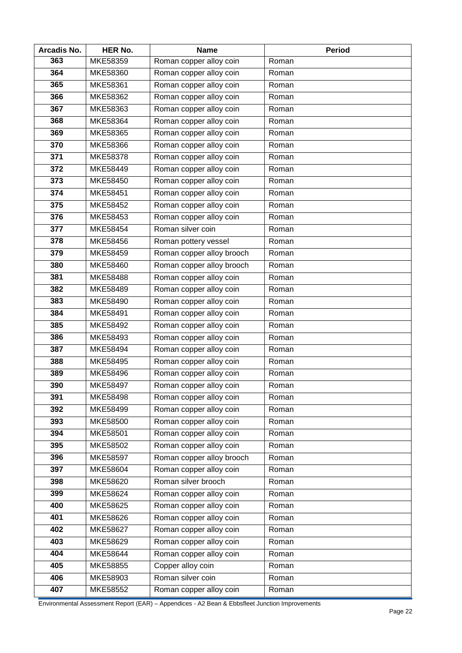| Arcadis No. | <b>HER No.</b> | <b>Name</b>               | <b>Period</b> |
|-------------|----------------|---------------------------|---------------|
| 363         | MKE58359       | Roman copper alloy coin   | Roman         |
| 364         | MKE58360       | Roman copper alloy coin   | Roman         |
| 365         | MKE58361       | Roman copper alloy coin   | Roman         |
| 366         | MKE58362       | Roman copper alloy coin   | Roman         |
| 367         | MKE58363       | Roman copper alloy coin   | Roman         |
| 368         | MKE58364       | Roman copper alloy coin   | Roman         |
| 369         | MKE58365       | Roman copper alloy coin   | Roman         |
| 370         | MKE58366       | Roman copper alloy coin   | Roman         |
| 371         | MKE58378       | Roman copper alloy coin   | Roman         |
| 372         | MKE58449       | Roman copper alloy coin   | Roman         |
| 373         | MKE58450       | Roman copper alloy coin   | Roman         |
| 374         | MKE58451       | Roman copper alloy coin   | Roman         |
| 375         | MKE58452       | Roman copper alloy coin   | Roman         |
| 376         | MKE58453       | Roman copper alloy coin   | Roman         |
| 377         | MKE58454       | Roman silver coin         | Roman         |
| 378         | MKE58456       | Roman pottery vessel      | Roman         |
| 379         | MKE58459       | Roman copper alloy brooch | Roman         |
| 380         | MKE58460       | Roman copper alloy brooch | Roman         |
| 381         | MKE58488       | Roman copper alloy coin   | Roman         |
| 382         | MKE58489       | Roman copper alloy coin   | Roman         |
| 383         | MKE58490       | Roman copper alloy coin   | Roman         |
| 384         | MKE58491       | Roman copper alloy coin   | Roman         |
| 385         | MKE58492       | Roman copper alloy coin   | Roman         |
| 386         | MKE58493       | Roman copper alloy coin   | Roman         |
| 387         | MKE58494       | Roman copper alloy coin   | Roman         |
| 388         | MKE58495       | Roman copper alloy coin   | Roman         |
| 389         | MKE58496       | Roman copper alloy coin   | Roman         |
| 390         | MKE58497       | Roman copper alloy coin   | Roman         |
| 391         | MKE58498       | Roman copper alloy coin   | Roman         |
| 392         | MKE58499       | Roman copper alloy coin   | Roman         |
| 393         | MKE58500       | Roman copper alloy coin   | Roman         |
| 394         | MKE58501       | Roman copper alloy coin   | Roman         |
| 395         | MKE58502       | Roman copper alloy coin   | Roman         |
| 396         | MKE58597       | Roman copper alloy brooch | Roman         |
| 397         | MKE58604       | Roman copper alloy coin   | Roman         |
| 398         | MKE58620       | Roman silver brooch       | Roman         |
| 399         | MKE58624       | Roman copper alloy coin   | Roman         |
| 400         | MKE58625       | Roman copper alloy coin   | Roman         |
| 401         | MKE58626       | Roman copper alloy coin   | Roman         |
| 402         | MKE58627       | Roman copper alloy coin   | Roman         |
| 403         | MKE58629       | Roman copper alloy coin   | Roman         |
| 404         | MKE58644       | Roman copper alloy coin   | Roman         |
| 405         | MKE58855       | Copper alloy coin         | Roman         |
| 406         | MKE58903       | Roman silver coin         | Roman         |
| 407         | MKE58552       | Roman copper alloy coin   | Roman         |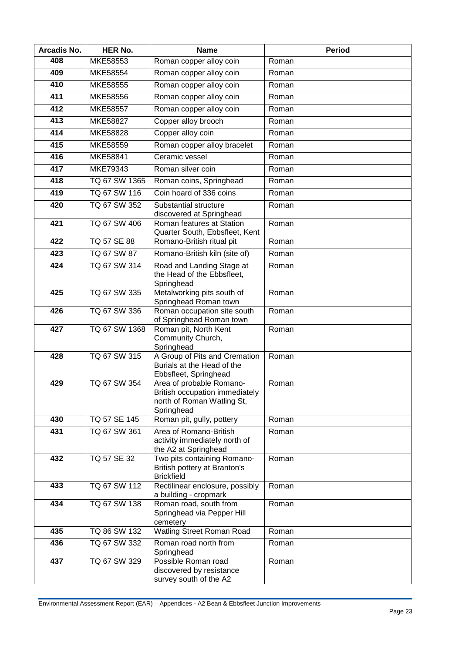| Arcadis No. | <b>HER No.</b>     | <b>Name</b>                                                                                            | <b>Period</b> |
|-------------|--------------------|--------------------------------------------------------------------------------------------------------|---------------|
| 408         | MKE58553           | Roman copper alloy coin                                                                                | Roman         |
| 409         | MKE58554           | Roman copper alloy coin                                                                                | Roman         |
| 410         | MKE58555           | Roman copper alloy coin                                                                                | Roman         |
| 411         | MKE58556           | Roman copper alloy coin                                                                                | Roman         |
| 412         | MKE58557           | Roman copper alloy coin                                                                                | Roman         |
| 413         | MKE58827           | Copper alloy brooch                                                                                    | Roman         |
| 414         | MKE58828           | Copper alloy coin                                                                                      | Roman         |
| 415         | MKE58559           | Roman copper alloy bracelet                                                                            | Roman         |
| 416         | MKE58841           | Ceramic vessel                                                                                         | Roman         |
| 417         | MKE79343           | Roman silver coin                                                                                      | Roman         |
| 418         | TQ 67 SW 1365      | Roman coins, Springhead                                                                                | Roman         |
| 419         | TQ 67 SW 116       | Coin hoard of 336 coins                                                                                | Roman         |
| 420         | TQ 67 SW 352       | Substantial structure<br>discovered at Springhead                                                      | Roman         |
| 421         | TQ 67 SW 406       | Roman features at Station<br>Quarter South, Ebbsfleet, Kent                                            | Roman         |
| 422         | <b>TQ 57 SE 88</b> | Romano-British ritual pit                                                                              | Roman         |
| 423         | TQ 67 SW 87        | Romano-British kiln (site of)                                                                          | Roman         |
| 424         | TQ 67 SW 314       | Road and Landing Stage at<br>the Head of the Ebbsfleet,<br>Springhead                                  | Roman         |
| 425         | TQ 67 SW 335       | Metalworking pits south of<br>Springhead Roman town                                                    | Roman         |
| 426         | TQ 67 SW 336       | Roman occupation site south<br>of Springhead Roman town                                                | Roman         |
| 427         | TQ 67 SW 1368      | Roman pit, North Kent<br>Community Church,<br>Springhead                                               | Roman         |
| 428         | TQ 67 SW 315       | A Group of Pits and Cremation<br>Burials at the Head of the<br>Ebbsfleet, Springhead                   | Roman         |
| 429         | TQ 67 SW 354       | Area of probable Romano-<br>British occupation immediately<br>north of Roman Watling St,<br>Springhead | Roman         |
| 430         | TQ 57 SE 145       | Roman pit, gully, pottery                                                                              | Roman         |
| 431         | TQ 67 SW 361       | Area of Romano-British<br>activity immediately north of<br>the A2 at Springhead                        | Roman         |
| 432         | TQ 57 SE 32        | Two pits containing Romano-<br>British pottery at Branton's<br><b>Brickfield</b>                       | Roman         |
| 433         | TQ 67 SW 112       | Rectilinear enclosure, possibly<br>a building - cropmark                                               | Roman         |
| 434         | TQ 67 SW 138       | Roman road, south from<br>Springhead via Pepper Hill<br>cemetery                                       | Roman         |
| 435         | TQ 86 SW 132       | <b>Watling Street Roman Road</b>                                                                       | Roman         |
| 436         | TQ 67 SW 332       | Roman road north from<br>Springhead                                                                    | Roman         |
| 437         | TQ 67 SW 329       | Possible Roman road<br>discovered by resistance<br>survey south of the A2                              | Roman         |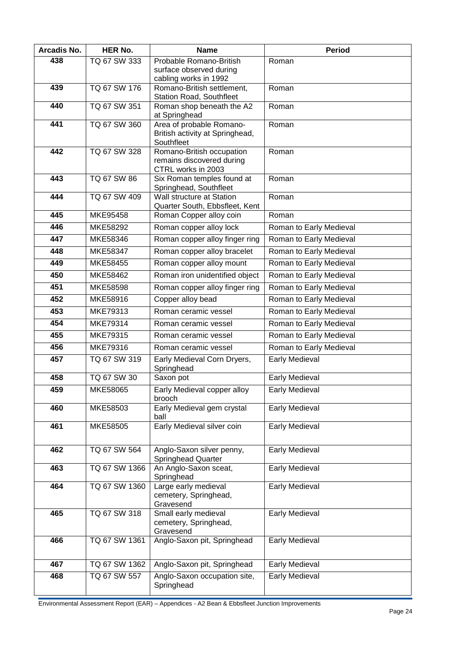| Arcadis No. | <b>HER No.</b> | <b>Name</b>                                                 | <b>Period</b>           |
|-------------|----------------|-------------------------------------------------------------|-------------------------|
| 438         | TQ 67 SW 333   | Probable Romano-British                                     | Roman                   |
|             |                | surface observed during                                     |                         |
| 439         | TQ 67 SW 176   | cabling works in 1992<br>Romano-British settlement,         | Roman                   |
|             |                | <b>Station Road, Southfleet</b>                             |                         |
| 440         | TQ 67 SW 351   | Roman shop beneath the A2                                   | Roman                   |
| 441         | TQ 67 SW 360   | at Springhead                                               |                         |
|             |                | Area of probable Romano-<br>British activity at Springhead, | Roman                   |
|             |                | Southfleet                                                  |                         |
| 442         | TQ 67 SW 328   | Romano-British occupation                                   | Roman                   |
|             |                | remains discovered during<br>CTRL works in 2003             |                         |
| 443         | TQ 67 SW 86    | Six Roman temples found at                                  | Roman                   |
|             |                | Springhead, Southfleet                                      |                         |
| 444         | TQ 67 SW 409   | Wall structure at Station                                   | Roman                   |
| 445         | MKE95458       | Quarter South, Ebbsfleet, Kent<br>Roman Copper alloy coin   | Roman                   |
| 446         | MKE58292       | Roman copper alloy lock                                     | Roman to Early Medieval |
| 447         | MKE58346       |                                                             |                         |
| 448         | MKE58347       | Roman copper alloy finger ring                              | Roman to Early Medieval |
|             |                | Roman copper alloy bracelet                                 | Roman to Early Medieval |
| 449         | MKE58455       | Roman copper alloy mount                                    | Roman to Early Medieval |
| 450         | MKE58462       | Roman iron unidentified object                              | Roman to Early Medieval |
| 451         | MKE58598       | Roman copper alloy finger ring                              | Roman to Early Medieval |
| 452         | MKE58916       | Copper alloy bead                                           | Roman to Early Medieval |
| 453         | MKE79313       | Roman ceramic vessel                                        | Roman to Early Medieval |
| 454         | MKE79314       | Roman ceramic vessel                                        | Roman to Early Medieval |
| 455         | MKE79315       | Roman ceramic vessel                                        | Roman to Early Medieval |
| 456         | MKE79316       | Roman ceramic vessel                                        | Roman to Early Medieval |
| 457         | TQ 67 SW 319   | Early Medieval Corn Dryers,<br>Springhead                   | <b>Early Medieval</b>   |
| 458         | TQ 67 SW 30    | Saxon pot                                                   | Early Medieval          |
| 459         | MKE58065       | Early Medieval copper alloy<br>brooch                       | Early Medieval          |
| 460         | MKE58503       | Early Medieval gem crystal<br>ball                          | Early Medieval          |
| 461         | MKE58505       | Early Medieval silver coin                                  | <b>Early Medieval</b>   |
|             |                |                                                             |                         |
| 462         | TQ 67 SW 564   | Anglo-Saxon silver penny,<br><b>Springhead Quarter</b>      | Early Medieval          |
| 463         | TQ 67 SW 1366  | An Anglo-Saxon sceat,<br>Springhead                         | Early Medieval          |
| 464         | TQ 67 SW 1360  | Large early medieval<br>cemetery, Springhead,               | Early Medieval          |
|             |                | Gravesend                                                   |                         |
| 465         | TQ 67 SW 318   | Small early medieval<br>cemetery, Springhead,<br>Gravesend  | <b>Early Medieval</b>   |
| 466         | TQ 67 SW 1361  | Anglo-Saxon pit, Springhead                                 | Early Medieval          |
| 467         | TQ 67 SW 1362  | Anglo-Saxon pit, Springhead                                 | Early Medieval          |
| 468         | TQ 67 SW 557   | Anglo-Saxon occupation site,                                | Early Medieval          |
|             |                | Springhead                                                  |                         |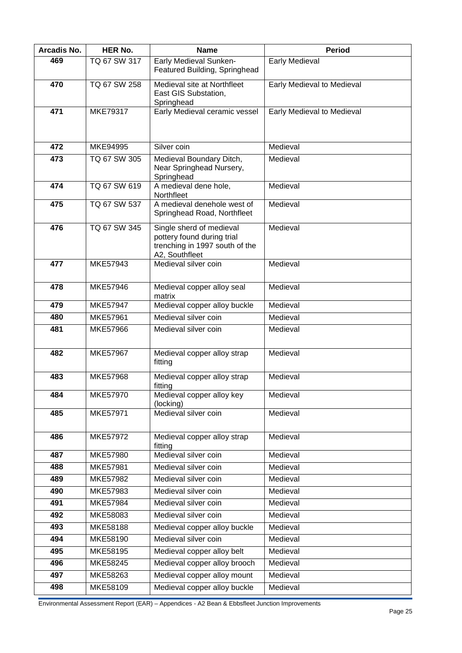| Arcadis No. | <b>HER No.</b>  | <b>Name</b>                                                                                                | <b>Period</b>              |
|-------------|-----------------|------------------------------------------------------------------------------------------------------------|----------------------------|
| 469         | TQ 67 SW 317    | Early Medieval Sunken-<br>Featured Building, Springhead                                                    | <b>Early Medieval</b>      |
| 470         | TQ 67 SW 258    | Medieval site at Northfleet<br>East GIS Substation,<br>Springhead                                          | Early Medieval to Medieval |
| 471         | MKE79317        | Early Medieval ceramic vessel                                                                              | Early Medieval to Medieval |
| 472         | MKE94995        | Silver coin                                                                                                | Medieval                   |
| 473         | TQ 67 SW 305    | Medieval Boundary Ditch,<br>Near Springhead Nursery,<br>Springhead                                         | Medieval                   |
| 474         | TQ 67 SW 619    | A medieval dene hole,<br>Northfleet                                                                        | Medieval                   |
| 475         | TQ 67 SW 537    | A medieval denehole west of<br>Springhead Road, Northfleet                                                 | Medieval                   |
| 476         | TQ 67 SW 345    | Single sherd of medieval<br>pottery found during trial<br>trenching in 1997 south of the<br>A2, Southfleet | Medieval                   |
| 477         | <b>MKE57943</b> | Medieval silver coin                                                                                       | Medieval                   |
| 478         | MKE57946        | Medieval copper alloy seal<br>matrix                                                                       | Medieval                   |
| 479         | <b>MKE57947</b> | Medieval copper alloy buckle                                                                               | Medieval                   |
| 480         | MKE57961        | Medieval silver coin                                                                                       | Medieval                   |
| 481         | MKE57966        | Medieval silver coin                                                                                       | Medieval                   |
| 482         | MKE57967        | Medieval copper alloy strap<br>fitting                                                                     | Medieval                   |
| 483         | MKE57968        | Medieval copper alloy strap<br>fitting                                                                     | Medieval                   |
| 484         | MKE57970        | Medieval copper alloy key<br>(locking)                                                                     | Medieval                   |
| 485         | MKE57971        | Medieval silver coin                                                                                       | Medieval                   |
| 486         | MKE57972        | Medieval copper alloy strap<br>fitting                                                                     | Medieval                   |
| 487         | MKE57980        | Medieval silver coin                                                                                       | Medieval                   |
| 488         | MKE57981        | Medieval silver coin                                                                                       | Medieval                   |
| 489         | <b>MKE57982</b> | Medieval silver coin                                                                                       | Medieval                   |
| 490         | MKE57983        | Medieval silver coin                                                                                       | Medieval                   |
| 491         | MKE57984        | Medieval silver coin                                                                                       | Medieval                   |
| 492         | MKE58083        | Medieval silver coin                                                                                       | Medieval                   |
| 493         | MKE58188        | Medieval copper alloy buckle                                                                               | Medieval                   |
| 494         | MKE58190        | Medieval silver coin                                                                                       | Medieval                   |
| 495         | MKE58195        | Medieval copper alloy belt                                                                                 | Medieval                   |
| 496         | MKE58245        | Medieval copper alloy brooch                                                                               | Medieval                   |
| 497         | MKE58263        | Medieval copper alloy mount                                                                                | Medieval                   |
| 498         | MKE58109        | Medieval copper alloy buckle                                                                               | Medieval                   |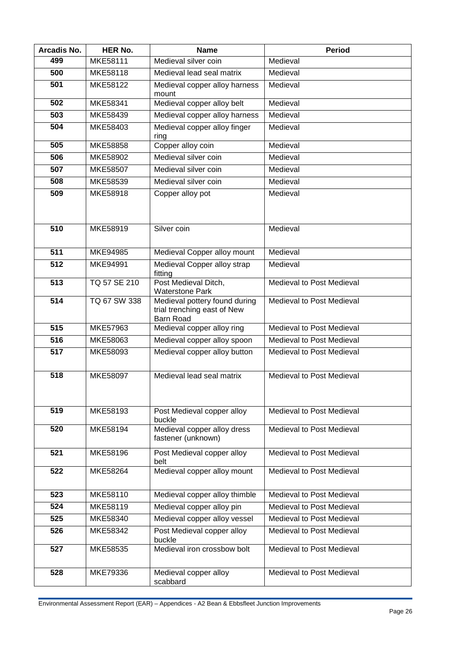| Arcadis No. | <b>HER No.</b> | <b>Name</b>                                                                      | <b>Period</b>             |
|-------------|----------------|----------------------------------------------------------------------------------|---------------------------|
| 499         | MKE58111       | Medieval silver coin                                                             | Medieval                  |
| 500         | MKE58118       | Medieval lead seal matrix                                                        | Medieval                  |
| 501         | MKE58122       | Medieval copper alloy harness<br>mount                                           | Medieval                  |
| 502         | MKE58341       | Medieval copper alloy belt                                                       | Medieval                  |
| 503         | MKE58439       | Medieval copper alloy harness                                                    | Medieval                  |
| 504         | MKE58403       | Medieval copper alloy finger<br>ring                                             | Medieval                  |
| 505         | MKE58858       | Copper alloy coin                                                                | Medieval                  |
| 506         | MKE58902       | Medieval silver coin                                                             | Medieval                  |
| 507         | MKE58507       | Medieval silver coin                                                             | Medieval                  |
| 508         | MKE58539       | Medieval silver coin                                                             | Medieval                  |
| 509         | MKE58918       | Copper alloy pot                                                                 | Medieval                  |
| 510         | MKE58919       | Silver coin                                                                      | Medieval                  |
| 511         | MKE94985       | Medieval Copper alloy mount                                                      | Medieval                  |
| 512         | MKE94991       | Medieval Copper alloy strap<br>fitting                                           | Medieval                  |
| 513         | TQ 57 SE 210   | Post Medieval Ditch,<br><b>Waterstone Park</b>                                   | Medieval to Post Medieval |
| 514         | TQ 67 SW 338   | Medieval pottery found during<br>trial trenching east of New<br><b>Barn Road</b> | Medieval to Post Medieval |
| 515         | MKE57963       | Medieval copper alloy ring                                                       | Medieval to Post Medieval |
| 516         | MKE58063       | Medieval copper alloy spoon                                                      | Medieval to Post Medieval |
| 517         | MKE58093       | Medieval copper alloy button                                                     | Medieval to Post Medieval |
| 518         | MKE58097       | Medieval lead seal matrix                                                        | Medieval to Post Medieval |
| 519         | MKE58193       | Post Medieval copper alloy<br>buckle                                             | Medieval to Post Medieval |
| 520         | MKE58194       | Medieval copper alloy dress<br>fastener (unknown)                                | Medieval to Post Medieval |
| 521         | MKE58196       | Post Medieval copper alloy<br>belt                                               | Medieval to Post Medieval |
| 522         | MKE58264       | Medieval copper alloy mount                                                      | Medieval to Post Medieval |
| 523         | MKE58110       | Medieval copper alloy thimble                                                    | Medieval to Post Medieval |
| 524         | MKE58119       | Medieval copper alloy pin                                                        | Medieval to Post Medieval |
| 525         | MKE58340       | Medieval copper alloy vessel                                                     | Medieval to Post Medieval |
| 526         | MKE58342       | Post Medieval copper alloy<br>buckle                                             | Medieval to Post Medieval |
| 527         | MKE58535       | Medieval iron crossbow bolt                                                      | Medieval to Post Medieval |
| 528         | MKE79336       | Medieval copper alloy<br>scabbard                                                | Medieval to Post Medieval |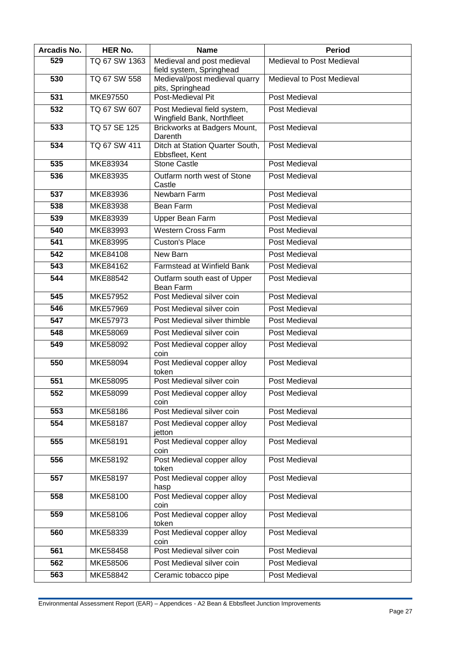| Arcadis No. | <b>HER No.</b>  | <b>Name</b>                                               | <b>Period</b>             |
|-------------|-----------------|-----------------------------------------------------------|---------------------------|
| 529         | TQ 67 SW 1363   | Medieval and post medieval<br>field system, Springhead    | Medieval to Post Medieval |
| 530         | TQ 67 SW 558    | Medieval/post medieval quarry<br>pits, Springhead         | Medieval to Post Medieval |
| 531         | MKE97550        | Post-Medieval Pit                                         | Post Medieval             |
| 532         | TQ 67 SW 607    | Post Medieval field system,<br>Wingfield Bank, Northfleet | Post Medieval             |
| 533         | TQ 57 SE 125    | Brickworks at Badgers Mount,<br>Darenth                   | Post Medieval             |
| 534         | TQ 67 SW 411    | Ditch at Station Quarter South,<br>Ebbsfleet, Kent        | Post Medieval             |
| 535         | MKE83934        | <b>Stone Castle</b>                                       | Post Medieval             |
| 536         | MKE83935        | Outfarm north west of Stone<br>Castle                     | Post Medieval             |
| 537         | MKE83936        | Newbarn Farm                                              | Post Medieval             |
| 538         | MKE83938        | Bean Farm                                                 | Post Medieval             |
| 539         | MKE83939        | <b>Upper Bean Farm</b>                                    | <b>Post Medieval</b>      |
| 540         | <b>MKE83993</b> | <b>Western Cross Farm</b>                                 | Post Medieval             |
| 541         | MKE83995        | <b>Custon's Place</b>                                     | Post Medieval             |
| 542         | MKE84108        | New Barn                                                  | <b>Post Medieval</b>      |
| 543         | MKE84162        | Farmstead at Winfield Bank                                | Post Medieval             |
| 544         | MKE88542        | Outfarm south east of Upper<br>Bean Farm                  | Post Medieval             |
| 545         | MKE57952        | Post Medieval silver coin                                 | Post Medieval             |
| 546         | MKE57969        | Post Medieval silver coin                                 | Post Medieval             |
| 547         | MKE57973        | Post Medieval silver thimble                              | Post Medieval             |
| 548         | MKE58069        | Post Medieval silver coin                                 | Post Medieval             |
| 549         | MKE58092        | Post Medieval copper alloy<br>coin                        | Post Medieval             |
| 550         | MKE58094        | Post Medieval copper alloy<br>token                       | Post Medieval             |
| 551         | MKE58095        | Post Medieval silver coin                                 | Post Medieval             |
| 552         | MKE58099        | Post Medieval copper alloy<br>coin                        | Post Medieval             |
| 553         | MKE58186        | Post Medieval silver coin                                 | Post Medieval             |
| 554         | MKE58187        | Post Medieval copper alloy<br>jetton                      | Post Medieval             |
| 555         | MKE58191        | Post Medieval copper alloy<br>coin                        | <b>Post Medieval</b>      |
| 556         | MKE58192        | Post Medieval copper alloy<br>token                       | Post Medieval             |
| 557         | MKE58197        | Post Medieval copper alloy<br>hasp                        | Post Medieval             |
| 558         | MKE58100        | Post Medieval copper alloy<br>coin                        | Post Medieval             |
| 559         | MKE58106        | Post Medieval copper alloy<br>token                       | Post Medieval             |
| 560         | MKE58339        | Post Medieval copper alloy<br>coin                        | Post Medieval             |
| 561         | MKE58458        | Post Medieval silver coin                                 | Post Medieval             |
| 562         | MKE58506        | Post Medieval silver coin                                 | Post Medieval             |
| 563         | MKE58842        | Ceramic tobacco pipe                                      | Post Medieval             |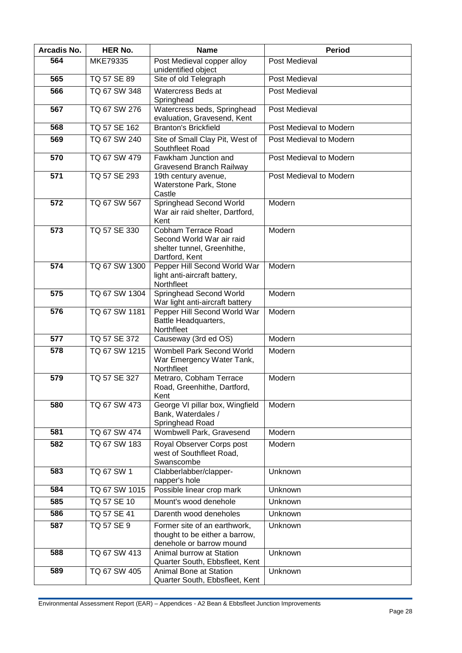| Arcadis No. | HER No.       | <b>Name</b>                                                                                       | <b>Period</b>           |
|-------------|---------------|---------------------------------------------------------------------------------------------------|-------------------------|
| 564         | MKE79335      | Post Medieval copper alloy<br>unidentified object                                                 | Post Medieval           |
| 565         | TQ 57 SE 89   | Site of old Telegraph                                                                             | Post Medieval           |
| 566         | TQ 67 SW 348  | Watercress Beds at<br>Springhead                                                                  | Post Medieval           |
| 567         | TQ 67 SW 276  | Watercress beds, Springhead<br>evaluation, Gravesend, Kent                                        | Post Medieval           |
| 568         | TQ 57 SE 162  | <b>Branton's Brickfield</b>                                                                       | Post Medieval to Modern |
| 569         | TQ 67 SW 240  | Site of Small Clay Pit, West of<br>Southfleet Road                                                | Post Medieval to Modern |
| 570         | TQ 67 SW 479  | Fawkham Junction and<br><b>Gravesend Branch Railway</b>                                           | Post Medieval to Modern |
| 571         | TQ 57 SE 293  | 19th century avenue,<br>Waterstone Park, Stone<br>Castle                                          | Post Medieval to Modern |
| 572         | TQ 67 SW 567  | Springhead Second World<br>War air raid shelter, Dartford,<br>Kent                                | Modern                  |
| 573         | TQ 57 SE 330  | Cobham Terrace Road<br>Second World War air raid<br>shelter tunnel, Greenhithe,<br>Dartford, Kent | Modern                  |
| 574         | TQ 67 SW 1300 | Pepper Hill Second World War<br>light anti-aircraft battery,<br>Northfleet                        | Modern                  |
| 575         | TQ 67 SW 1304 | Springhead Second World<br>War light anti-aircraft battery                                        | Modern                  |
| 576         | TQ 67 SW 1181 | Pepper Hill Second World War<br>Battle Headquarters,<br>Northfleet                                | Modern                  |
| 577         | TQ 57 SE 372  | Causeway (3rd ed OS)                                                                              | Modern                  |
| 578         | TQ 67 SW 1215 | Wombell Park Second World<br>War Emergency Water Tank,<br>Northfleet                              | Modern                  |
| 579         | TQ 57 SE 327  | Metraro, Cobham Terrace<br>Road, Greenhithe, Dartford,<br>Kent                                    | Modern                  |
| 580         | TQ 67 SW 473  | George VI pillar box, Wingfield<br>Bank, Waterdales /<br>Springhead Road                          | Modern                  |
| 581         | TQ 67 SW 474  | Wombwell Park, Gravesend                                                                          | Modern                  |
| 582         | TQ 67 SW 183  | Royal Observer Corps post<br>west of Southfleet Road,<br>Swanscombe                               | Modern                  |
| 583         | TQ 67 SW 1    | Clabberlabber/clapper-<br>napper's hole                                                           | Unknown                 |
| 584         | TQ 67 SW 1015 | Possible linear crop mark                                                                         | Unknown                 |
| 585         | TQ 57 SE 10   | Mount's wood denehole                                                                             | Unknown                 |
| 586         | TQ 57 SE 41   | Darenth wood deneholes                                                                            | Unknown                 |
| 587         | TQ 57 SE 9    | Former site of an earthwork,<br>thought to be either a barrow,<br>denehole or barrow mound        | Unknown                 |
| 588         | TQ 67 SW 413  | Animal burrow at Station<br>Quarter South, Ebbsfleet, Kent                                        | Unknown                 |
| 589         | TQ 67 SW 405  | Animal Bone at Station<br>Quarter South, Ebbsfleet, Kent                                          | Unknown                 |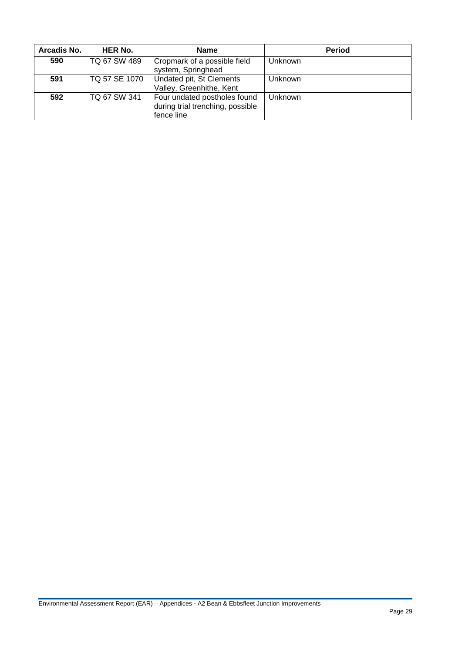| Arcadis No. | <b>HER No.</b> | <b>Name</b>                                                                    | <b>Period</b>  |
|-------------|----------------|--------------------------------------------------------------------------------|----------------|
| 590         | TQ 67 SW 489   | Cropmark of a possible field<br>system, Springhead                             | Unknown        |
| 591         | TQ 57 SE 1070  | Undated pit, St Clements<br>Valley, Greenhithe, Kent                           | Unknown        |
| 592         | TQ 67 SW 341   | Four undated postholes found<br>during trial trenching, possible<br>fence line | <b>Unknown</b> |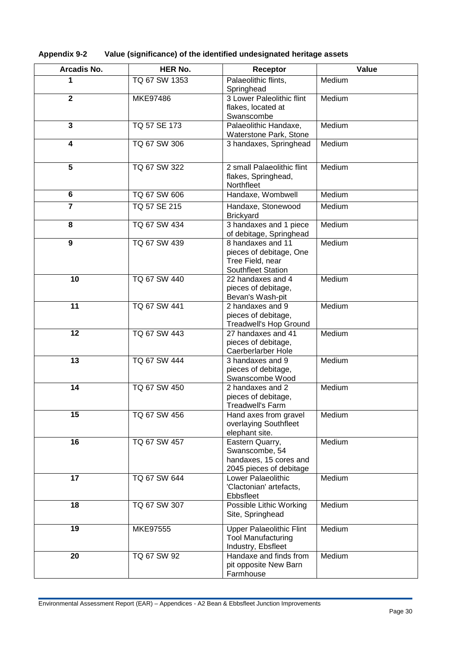| <b>Appendix 9-2</b> | Value (significance) of the identified undesignated heritage assets |
|---------------------|---------------------------------------------------------------------|
|---------------------|---------------------------------------------------------------------|

| Arcadis No.             | <b>HER No.</b> | Receptor                                             | Value  |
|-------------------------|----------------|------------------------------------------------------|--------|
| 1                       | TQ 67 SW 1353  | Palaeolithic flints,                                 | Medium |
| $\overline{\mathbf{2}}$ | MKE97486       | Springhead<br>3 Lower Paleolithic flint              | Medium |
|                         |                | flakes, located at                                   |        |
|                         |                | Swanscombe                                           |        |
| $\overline{\mathbf{3}}$ | TQ 57 SE 173   | Palaeolithic Handaxe,                                | Medium |
| 4                       | TQ 67 SW 306   | Waterstone Park, Stone<br>3 handaxes, Springhead     | Medium |
|                         |                |                                                      |        |
| $\overline{5}$          | TQ 67 SW 322   | 2 small Palaeolithic flint                           | Medium |
|                         |                | flakes, Springhead,                                  |        |
|                         |                | Northfleet                                           |        |
| 6                       | TQ 67 SW 606   | Handaxe, Wombwell                                    | Medium |
| $\overline{7}$          | TQ 57 SE 215   | Handaxe, Stonewood<br><b>Brickyard</b>               | Medium |
| 8                       | TQ 67 SW 434   | 3 handaxes and 1 piece                               | Medium |
| $\overline{9}$          | TQ 67 SW 439   | of debitage, Springhead<br>8 handaxes and 11         | Medium |
|                         |                | pieces of debitage, One                              |        |
|                         |                | Tree Field, near                                     |        |
| 10                      | TQ 67 SW 440   | Southfleet Station<br>22 handaxes and 4              | Medium |
|                         |                | pieces of debitage,                                  |        |
|                         |                | Bevan's Wash-pit                                     |        |
| 11                      | TQ 67 SW 441   | 2 handaxes and 9                                     | Medium |
|                         |                | pieces of debitage,<br><b>Treadwell's Hop Ground</b> |        |
| 12                      | TQ 67 SW 443   | 27 handaxes and 41                                   | Medium |
|                         |                | pieces of debitage,                                  |        |
| 13                      | TQ 67 SW 444   | Caerberlarber Hole<br>3 handaxes and 9               | Medium |
|                         |                | pieces of debitage,                                  |        |
|                         |                | Swanscombe Wood                                      |        |
| 14                      | TQ 67 SW 450   | 2 handaxes and 2                                     | Medium |
|                         |                | pieces of debitage,<br><b>Treadwell's Farm</b>       |        |
| 15                      | TQ 67 SW 456   | Hand axes from gravel                                | Medium |
|                         |                | overlaying Southfleet                                |        |
| 16                      | TQ 67 SW 457   | elephant site.<br>Eastern Quarry,                    | Medium |
|                         |                | Swanscombe, 54                                       |        |
|                         |                | handaxes, 15 cores and                               |        |
| 17                      | TQ 67 SW 644   | 2045 pieces of debitage<br>Lower Palaeolithic        |        |
|                         |                | 'Clactonian' artefacts,                              | Medium |
|                         |                | Ebbsfleet                                            |        |
| 18                      | TQ 67 SW 307   | Possible Lithic Working                              | Medium |
|                         |                | Site, Springhead                                     |        |
| 19                      | MKE97555       | <b>Upper Palaeolithic Flint</b>                      | Medium |
|                         |                | <b>Tool Manufacturing</b><br>Industry, Ebsfleet      |        |
| 20                      | TQ 67 SW 92    | Handaxe and finds from                               | Medium |
|                         |                | pit opposite New Barn                                |        |
|                         |                | Farmhouse                                            |        |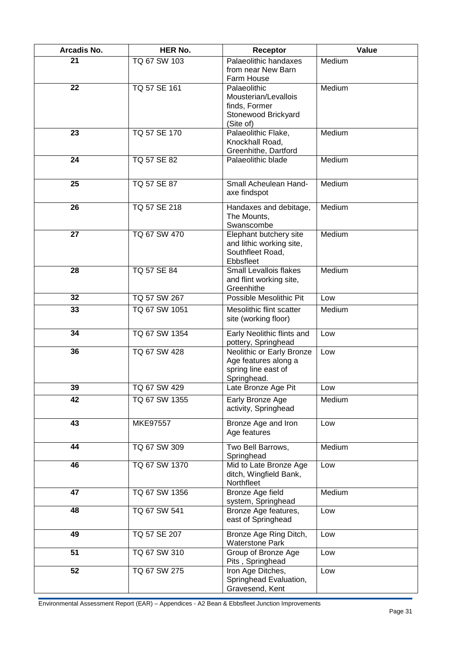| Arcadis No. | <b>HER No.</b>  | Receptor                                                                                  | Value  |
|-------------|-----------------|-------------------------------------------------------------------------------------------|--------|
| 21          | TQ 67 SW 103    | Palaeolithic handaxes<br>from near New Barn<br>Farm House                                 | Medium |
| 22          | TQ 57 SE 161    | Palaeolithic<br>Mousterian/Levallois<br>finds, Former<br>Stonewood Brickyard<br>(Site of) | Medium |
| 23          | TQ 57 SE 170    | Palaeolithic Flake,<br>Knockhall Road,<br>Greenhithe, Dartford                            | Medium |
| 24          | TQ 57 SE 82     | Palaeolithic blade                                                                        | Medium |
| 25          | TQ 57 SE 87     | Small Acheulean Hand-<br>axe findspot                                                     | Medium |
| 26          | TQ 57 SE 218    | Handaxes and debitage,<br>The Mounts,<br>Swanscombe                                       | Medium |
| 27          | TQ 67 SW 470    | Elephant butchery site<br>and lithic working site,<br>Southfleet Road,<br>Ebbsfleet       | Medium |
| 28          | TQ 57 SE 84     | Small Levallois flakes<br>and flint working site,<br>Greenhithe                           | Medium |
| 32          | TQ 57 SW 267    | Possible Mesolithic Pit                                                                   | Low    |
| 33          | TQ 67 SW 1051   | Mesolithic flint scatter<br>site (working floor)                                          | Medium |
| 34          | TQ 67 SW 1354   | Early Neolithic flints and<br>pottery, Springhead                                         | Low    |
| 36          | TQ 67 SW 428    | Neolithic or Early Bronze<br>Age features along a<br>spring line east of<br>Springhead.   | Low    |
| 39          | TQ 67 SW 429    | Late Bronze Age Pit                                                                       | Low    |
| 42          | TQ 67 SW 1355   | Early Bronze Age<br>activity, Springhead                                                  | Medium |
| 43          | <b>MKE97557</b> | Bronze Age and Iron<br>Age features                                                       | Low    |
| 44          | TQ 67 SW 309    | Two Bell Barrows,<br>Springhead                                                           | Medium |
| 46          | TQ 67 SW 1370   | Mid to Late Bronze Age<br>ditch, Wingfield Bank,<br>Northfleet                            | Low    |
| 47          | TQ 67 SW 1356   | <b>Bronze Age field</b><br>system, Springhead                                             | Medium |
| 48          | TQ 67 SW 541    | Bronze Age features,<br>east of Springhead                                                | Low    |
| 49          | TQ 57 SE 207    | Bronze Age Ring Ditch,<br><b>Waterstone Park</b>                                          | Low    |
| 51          | TQ 67 SW 310    | Group of Bronze Age<br>Pits, Springhead                                                   | Low    |
| 52          | TQ 67 SW 275    | Iron Age Ditches,<br>Springhead Evaluation,<br>Gravesend, Kent                            | Low    |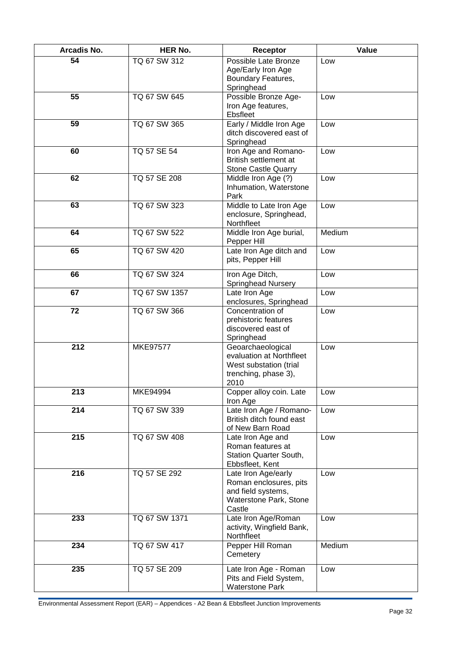| Arcadis No. | <b>HER No.</b>  | Receptor                                                                                                | Value  |
|-------------|-----------------|---------------------------------------------------------------------------------------------------------|--------|
| 54          | TQ 67 SW 312    | Possible Late Bronze<br>Age/Early Iron Age<br>Boundary Features,<br>Springhead                          | Low    |
| 55          | TQ 67 SW 645    | Possible Bronze Age-<br>Iron Age features,<br>Ebsfleet                                                  | Low    |
| 59          | TQ 67 SW 365    | Early / Middle Iron Age<br>ditch discovered east of<br>Springhead                                       | Low    |
| 60          | TQ 57 SE 54     | Iron Age and Romano-<br>British settlement at<br>Stone Castle Quarry                                    | Low    |
| 62          | TQ 57 SE 208    | Middle Iron Age (?)<br>Inhumation, Waterstone<br>Park                                                   | Low    |
| 63          | TQ 67 SW 323    | Middle to Late Iron Age<br>enclosure, Springhead,<br>Northfleet                                         | Low    |
| 64          | TQ 67 SW 522    | Middle Iron Age burial,<br>Pepper Hill                                                                  | Medium |
| 65          | TQ 67 SW 420    | Late Iron Age ditch and<br>pits, Pepper Hill                                                            | Low    |
| 66          | TQ 67 SW 324    | Iron Age Ditch,<br>Springhead Nursery                                                                   | Low    |
| 67          | TQ 67 SW 1357   | Late Iron Age<br>enclosures, Springhead                                                                 | Low    |
| 72          | TQ 67 SW 366    | Concentration of<br>prehistoric features<br>discovered east of<br>Springhead                            | Low    |
| 212         | <b>MKE97577</b> | Geoarchaeological<br>evaluation at Northfleet<br>West substation (trial<br>trenching, phase 3),<br>2010 | Low    |
| 213         | <b>MKE94994</b> | Copper alloy coin. Late<br>Iron Age                                                                     | Low    |
| 214         | TQ 67 SW 339    | Late Iron Age / Romano-<br>British ditch found east<br>of New Barn Road                                 | Low    |
| 215         | TQ 67 SW 408    | Late Iron Age and<br>Roman features at<br>Station Quarter South,<br>Ebbsfleet, Kent                     | Low    |
| 216         | TQ 57 SE 292    | Late Iron Age/early<br>Roman enclosures, pits<br>and field systems,<br>Waterstone Park, Stone<br>Castle | Low    |
| 233         | TQ 67 SW 1371   | Late Iron Age/Roman<br>activity, Wingfield Bank,<br>Northfleet                                          | Low    |
| 234         | TQ 67 SW 417    | Pepper Hill Roman<br>Cemetery                                                                           | Medium |
| 235         | TQ 57 SE 209    | Late Iron Age - Roman<br>Pits and Field System,<br><b>Waterstone Park</b>                               | Low    |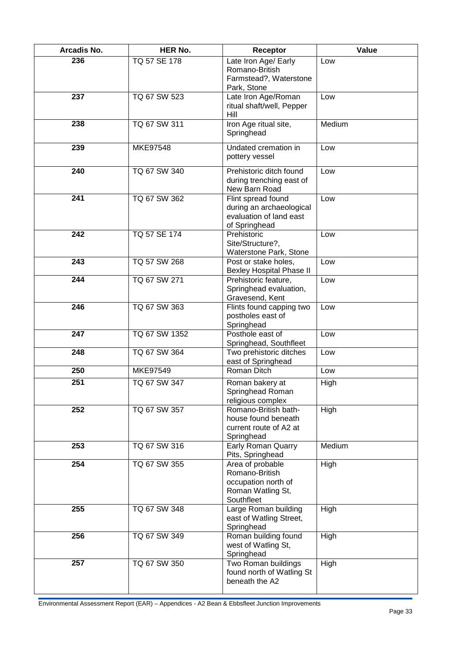| Arcadis No. | <b>HER No.</b>  | Receptor                                                                                     | Value  |
|-------------|-----------------|----------------------------------------------------------------------------------------------|--------|
| 236         | TQ 57 SE 178    | Late Iron Age/ Early<br>Romano-British<br>Farmstead?, Waterstone                             | Low    |
| 237         | TQ 67 SW 523    | Park, Stone<br>Late Iron Age/Roman<br>ritual shaft/well, Pepper<br>Hill                      | Low    |
| 238         | TQ 67 SW 311    | Iron Age ritual site,<br>Springhead                                                          | Medium |
| 239         | <b>MKE97548</b> | Undated cremation in<br>pottery vessel                                                       | Low    |
| 240         | TQ 67 SW 340    | Prehistoric ditch found<br>during trenching east of<br>New Barn Road                         | Low    |
| 241         | TQ 67 SW 362    | Flint spread found<br>during an archaeological<br>evaluation of land east<br>of Springhead   | Low    |
| 242         | TQ 57 SE 174    | Prehistoric<br>Site/Structure?,<br>Waterstone Park, Stone                                    | Low    |
| 243         | TQ 57 SW 268    | Post or stake holes,<br><b>Bexley Hospital Phase II</b>                                      | Low    |
| 244         | TQ 67 SW 271    | Prehistoric feature,<br>Springhead evaluation,<br>Gravesend, Kent                            | Low    |
| 246         | TQ 67 SW 363    | Flints found capping two<br>postholes east of<br>Springhead                                  | Low    |
| 247         | TQ 67 SW 1352   | Posthole east of<br>Springhead, Southfleet                                                   | Low    |
| 248         | TQ 67 SW 364    | Two prehistoric ditches<br>east of Springhead                                                | Low    |
| 250         | MKE97549        | Roman Ditch                                                                                  | Low    |
| 251         | TQ 67 SW 347    | Roman bakery at<br>Springhead Roman<br>religious complex                                     | High   |
| 252         | TQ 67 SW 357    | Romano-British bath-<br>house found beneath<br>current route of A2 at<br>Springhead          | High   |
| 253         | TQ 67 SW 316    | Early Roman Quarry<br>Pits, Springhead                                                       | Medium |
| 254         | TQ 67 SW 355    | Area of probable<br>Romano-British<br>occupation north of<br>Roman Watling St,<br>Southfleet | High   |
| 255         | TQ 67 SW 348    | Large Roman building<br>east of Watling Street,<br>Springhead                                | High   |
| 256         | TQ 67 SW 349    | Roman building found<br>west of Watling St,<br>Springhead                                    | High   |
| 257         | TQ 67 SW 350    | Two Roman buildings<br>found north of Watling St<br>beneath the A2                           | High   |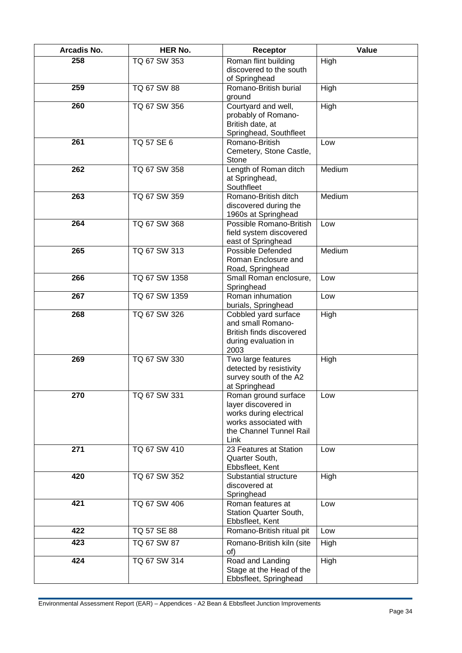| Arcadis No. | <b>HER No.</b>     | Receptor                                                                                                                           | Value  |
|-------------|--------------------|------------------------------------------------------------------------------------------------------------------------------------|--------|
| 258         | TQ 67 SW 353       | Roman flint building<br>discovered to the south<br>of Springhead                                                                   | High   |
| 259         | TQ 67 SW 88        | Romano-British burial<br>ground                                                                                                    | High   |
| 260         | TQ 67 SW 356       | Courtyard and well,<br>probably of Romano-<br>British date, at<br>Springhead, Southfleet                                           | High   |
| 261         | TQ 57 SE 6         | Romano-British<br>Cemetery, Stone Castle,<br><b>Stone</b>                                                                          | Low    |
| 262         | TQ 67 SW 358       | Length of Roman ditch<br>at Springhead,<br>Southfleet                                                                              | Medium |
| 263         | TQ 67 SW 359       | Romano-British ditch<br>discovered during the<br>1960s at Springhead                                                               | Medium |
| 264         | TQ 67 SW 368       | Possible Romano-British<br>field system discovered<br>east of Springhead                                                           | Low    |
| 265         | TQ 67 SW 313       | Possible Defended<br>Roman Enclosure and<br>Road, Springhead                                                                       | Medium |
| 266         | TQ 67 SW 1358      | Small Roman enclosure,<br>Springhead                                                                                               | Low    |
| 267         | TQ 67 SW 1359      | Roman inhumation<br>burials, Springhead                                                                                            | Low    |
| 268         | TQ 67 SW 326       | Cobbled yard surface<br>and small Romano-<br>British finds discovered<br>during evaluation in<br>2003                              | High   |
| 269         | TQ 67 SW 330       | Two large features<br>detected by resistivity<br>survey south of the A2<br>at Springhead                                           | High   |
| 270         | TQ 67 SW 331       | Roman ground surface<br>layer discovered in<br>works during electrical<br>works associated with<br>the Channel Tunnel Rail<br>Link | Low    |
| 271         | TQ 67 SW 410       | 23 Features at Station<br>Quarter South,<br>Ebbsfleet, Kent                                                                        | Low    |
| 420         | TQ 67 SW 352       | Substantial structure<br>discovered at<br>Springhead                                                                               | High   |
| 421         | TQ 67 SW 406       | Roman features at<br>Station Quarter South,<br>Ebbsfleet, Kent                                                                     | Low    |
| 422         | TQ 57 SE 88        | Romano-British ritual pit                                                                                                          | Low    |
| 423         | <b>TQ 67 SW 87</b> | Romano-British kiln (site<br>of)                                                                                                   | High   |
| 424         | TQ 67 SW 314       | Road and Landing<br>Stage at the Head of the<br>Ebbsfleet, Springhead                                                              | High   |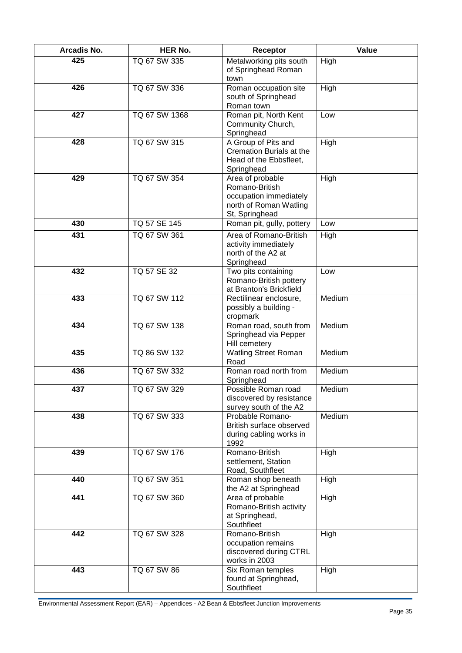| Arcadis No. | <b>HER No.</b> | Receptor                                                                                                 | Value  |
|-------------|----------------|----------------------------------------------------------------------------------------------------------|--------|
| 425         | TQ 67 SW 335   | Metalworking pits south<br>of Springhead Roman<br>town                                                   | High   |
| 426         | TQ 67 SW 336   | Roman occupation site<br>south of Springhead<br>Roman town                                               | High   |
| 427         | TQ 67 SW 1368  | Roman pit, North Kent<br>Community Church,<br>Springhead                                                 | Low    |
| 428         | TQ 67 SW 315   | A Group of Pits and<br>Cremation Burials at the<br>Head of the Ebbsfleet,<br>Springhead                  | High   |
| 429         | TQ 67 SW 354   | Area of probable<br>Romano-British<br>occupation immediately<br>north of Roman Watling<br>St, Springhead | High   |
| 430         | TQ 57 SE 145   | Roman pit, gully, pottery                                                                                | Low    |
| 431         | TQ 67 SW 361   | Area of Romano-British<br>activity immediately<br>north of the A2 at<br>Springhead                       | High   |
| 432         | TQ 57 SE 32    | Two pits containing<br>Romano-British pottery<br>at Branton's Brickfield                                 | Low    |
| 433         | TQ 67 SW 112   | Rectilinear enclosure,<br>possibly a building -<br>cropmark                                              | Medium |
| 434         | TQ 67 SW 138   | Roman road, south from<br>Springhead via Pepper<br>Hill cemetery                                         | Medium |
| 435         | TQ 86 SW 132   | <b>Watling Street Roman</b><br>Road                                                                      | Medium |
| 436         | TQ 67 SW 332   | Roman road north from<br>Springhead                                                                      | Medium |
| 437         | TQ 67 SW 329   | Possible Roman road<br>discovered by resistance<br>survey south of the A2                                | Medium |
| 438         | TQ 67 SW 333   | Probable Romano-<br>British surface observed<br>during cabling works in<br>1992                          | Medium |
| 439         | TQ 67 SW 176   | Romano-British<br>settlement, Station<br>Road, Southfleet                                                | High   |
| 440         | TQ 67 SW 351   | Roman shop beneath<br>the A2 at Springhead                                                               | High   |
| 441         | TQ 67 SW 360   | Area of probable<br>Romano-British activity<br>at Springhead,<br>Southfleet                              | High   |
| 442         | TQ 67 SW 328   | Romano-British<br>occupation remains<br>discovered during CTRL<br>works in 2003                          | High   |
| 443         | TQ 67 SW 86    | Six Roman temples<br>found at Springhead,<br>Southfleet                                                  | High   |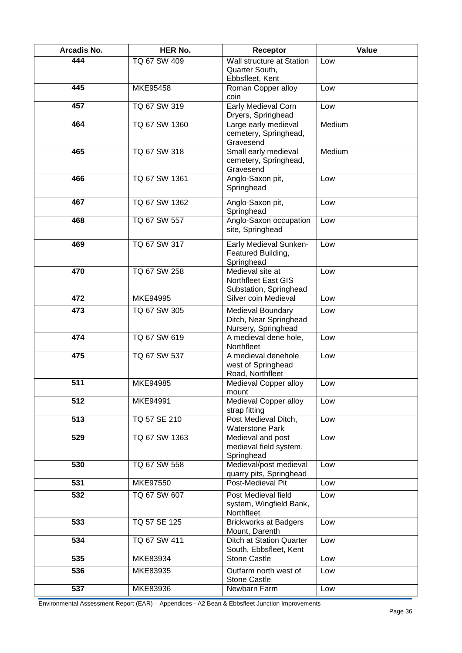| Arcadis No. | <b>HER No.</b> | Receptor                                                           | Value  |
|-------------|----------------|--------------------------------------------------------------------|--------|
| 444         | TQ 67 SW 409   | Wall structure at Station<br>Quarter South,<br>Ebbsfleet, Kent     | Low    |
| 445         | MKE95458       | Roman Copper alloy<br>coin                                         | Low    |
| 457         | TQ 67 SW 319   | Early Medieval Corn<br>Dryers, Springhead                          | Low    |
| 464         | TQ 67 SW 1360  | Large early medieval<br>cemetery, Springhead,<br>Gravesend         | Medium |
| 465         | TQ 67 SW 318   | Small early medieval<br>cemetery, Springhead,<br>Gravesend         | Medium |
| 466         | TQ 67 SW 1361  | Anglo-Saxon pit,<br>Springhead                                     | Low    |
| 467         | TQ 67 SW 1362  | Anglo-Saxon pit,<br>Springhead                                     | Low    |
| 468         | TQ 67 SW 557   | Anglo-Saxon occupation<br>site, Springhead                         | Low    |
| 469         | TQ 67 SW 317   | Early Medieval Sunken-<br>Featured Building,<br>Springhead         | Low    |
| 470         | TQ 67 SW 258   | Medieval site at<br>Northfleet East GIS<br>Substation, Springhead  | Low    |
| 472         | MKE94995       | Silver coin Medieval                                               | Low    |
| 473         | TQ 67 SW 305   | Medieval Boundary<br>Ditch, Near Springhead<br>Nursery, Springhead | Low    |
| 474         | TQ 67 SW 619   | A medieval dene hole,<br>Northfleet                                | Low    |
| 475         | TQ 67 SW 537   | A medieval denehole<br>west of Springhead<br>Road, Northfleet      | Low    |
| 511         | MKE94985       | Medieval Copper alloy<br>mount                                     | Low    |
| 512         | MKE94991       | Medieval Copper alloy<br>strap fitting                             | Low    |
| 513         | TQ 57 SE 210   | Post Medieval Ditch,<br><b>Waterstone Park</b>                     | Low    |
| 529         | TQ 67 SW 1363  | Medieval and post<br>medieval field system,<br>Springhead          | Low    |
| 530         | TQ 67 SW 558   | Medieval/post medieval<br>quarry pits, Springhead                  | Low    |
| 531         | MKE97550       | Post-Medieval Pit                                                  | Low    |
| 532         | TQ 67 SW 607   | Post Medieval field<br>system, Wingfield Bank,<br>Northfleet       | Low    |
| 533         | TQ 57 SE 125   | <b>Brickworks at Badgers</b><br>Mount, Darenth                     | Low    |
| 534         | TQ 67 SW 411   | <b>Ditch at Station Quarter</b><br>South, Ebbsfleet, Kent          | Low    |
| 535         | MKE83934       | <b>Stone Castle</b>                                                | Low    |
| 536         | MKE83935       | Outfarm north west of<br><b>Stone Castle</b>                       | Low    |
| 537         | MKE83936       | Newbarn Farm                                                       | Low    |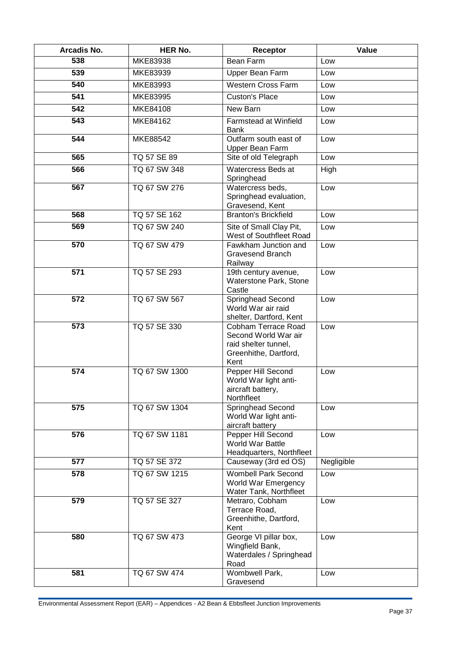| Arcadis No. | <b>HER No.</b> | Receptor                                                                                             | Value      |
|-------------|----------------|------------------------------------------------------------------------------------------------------|------------|
| 538         | MKE83938       | Bean Farm                                                                                            | Low        |
| 539         | MKE83939       | Upper Bean Farm                                                                                      | Low        |
| 540         | MKE83993       | <b>Western Cross Farm</b>                                                                            | Low        |
| 541         | MKE83995       | <b>Custon's Place</b>                                                                                | Low        |
| 542         | MKE84108       | New Barn                                                                                             | Low        |
| 543         | MKE84162       | Farmstead at Winfield<br><b>Bank</b>                                                                 | Low        |
| 544         | MKE88542       | Outfarm south east of<br>Upper Bean Farm                                                             | Low        |
| 565         | TQ 57 SE 89    | Site of old Telegraph                                                                                | Low        |
| 566         | TQ 67 SW 348   | Watercress Beds at<br>Springhead                                                                     | High       |
| 567         | TQ 67 SW 276   | Watercress beds,<br>Springhead evaluation,<br>Gravesend, Kent                                        | Low        |
| 568         | TQ 57 SE 162   | <b>Branton's Brickfield</b>                                                                          | Low        |
| 569         | TQ 67 SW 240   | Site of Small Clay Pit,<br>West of Southfleet Road                                                   | Low        |
| 570         | TQ 67 SW 479   | Fawkham Junction and<br><b>Gravesend Branch</b><br>Railway                                           | Low        |
| 571         | TQ 57 SE 293   | 19th century avenue,<br>Waterstone Park, Stone<br>Castle                                             | Low        |
| 572         | TQ 67 SW 567   | Springhead Second<br>World War air raid<br>shelter, Dartford, Kent                                   | Low        |
| 573         | TQ 57 SE 330   | Cobham Terrace Road<br>Second World War air<br>raid shelter tunnel,<br>Greenhithe, Dartford,<br>Kent | Low        |
| 574         | TQ 67 SW 1300  | Pepper Hill Second<br>World War light anti-<br>aircraft battery,<br>Northfleet                       | Low        |
| 575         | TQ 67 SW 1304  | Springhead Second<br>World War light anti-<br>aircraft battery                                       | Low        |
| 576         | TQ 67 SW 1181  | Pepper Hill Second<br>World War Battle<br>Headquarters, Northfleet                                   | Low        |
| 577         | TQ 57 SE 372   | Causeway (3rd ed OS)                                                                                 | Negligible |
| 578         | TQ 67 SW 1215  | <b>Wombell Park Second</b><br>World War Emergency<br>Water Tank, Northfleet                          | Low        |
| 579         | TQ 57 SE 327   | Metraro, Cobham<br>Terrace Road,<br>Greenhithe, Dartford,<br>Kent                                    | Low        |
| 580         | TQ 67 SW 473   | George VI pillar box,<br>Wingfield Bank,<br>Waterdales / Springhead<br>Road                          | Low        |
| 581         | TQ 67 SW 474   | Wombwell Park,<br>Gravesend                                                                          | Low        |